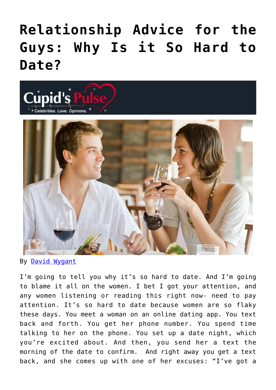# **[Relationship Advice for the](https://cupidspulse.com/115462/relationship-advice-guys-why-hard-date/) [Guys: Why Is it So Hard to](https://cupidspulse.com/115462/relationship-advice-guys-why-hard-date/) [Date?](https://cupidspulse.com/115462/relationship-advice-guys-why-hard-date/)**



By [David Wygant](http://cupidspulse.com/relationship-experts/david-wygant/)

I'm going to tell you why it's so hard to date. And I'm going to blame it all on the women. I bet I got your attention, and any women listening or reading this right now- need to pay attention. It's so hard to date because women are so flaky these days. You meet a woman on an online dating app. You text back and forth. You get her phone number. You spend time talking to her on the phone. You set up a date night, which you're excited about. And then, you send her a text the morning of the date to confirm. And right away you get a text back, and she comes up with one of her excuses: "I've got a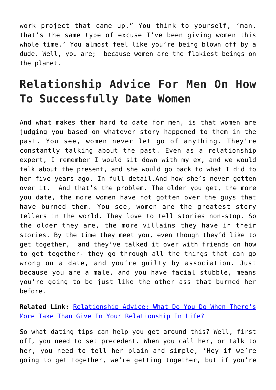work project that came up." You think to yourself, 'man, that's the same type of excuse I've been giving women this whole time.' You almost feel like you're being blown off by a dude. Well, you are; because women are the flakiest beings on the planet.

## **Relationship Advice For Men On How To Successfully Date Women**

And what makes them hard to date for men, is that women are judging you based on whatever story happened to them in the past. You see, women never let go of anything. They're constantly talking about the past. Even as a relationship expert, I remember I would sit down with my ex, and we would talk about the present, and she would go back to what I did to her five years ago. In full detail.And how she's never gotten over it. And that's the problem. The older you get, the more you date, the more women have not gotten over the guys that have burned them. You see, women are the greatest story tellers in the world. They love to tell stories non-stop. So the older they are, the more villains they have in their stories. By the time they meet you, even though they'd like to get together, and they've talked it over with friends on how to get together- they go through all the things that can go wrong on a date, and you're guilty by association. Just because you are a male, and you have facial stubble, means you're going to be just like the other ass that burned her before.

**Related Link:** [Relationship Advice: What Do You Do When There's](http://cupidspulse.com/114923/relationship-advice-more-take-than-give/) [More Take Than Give In Your Relationship In Life?](http://cupidspulse.com/114923/relationship-advice-more-take-than-give/)

So what dating tips can help you get around this? Well, first off, you need to set precedent. When you call her, or talk to her, you need to tell her plain and simple, 'Hey if we're going to get together, we're getting together, but if you're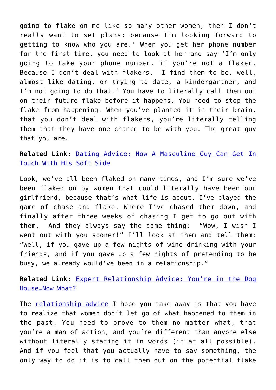going to flake on me like so many other women, then I don't really want to set plans; because I'm looking forward to getting to know who you are.' When you get her phone number for the first time, you need to look at her and say 'I'm only going to take your phone number, if you're not a flaker. Because I don't deal with flakers. I find them to be, well, almost like dating, or trying to date, a kindergartner, and I'm not going to do that.' You have to literally call them out on their future flake before it happens. You need to stop the flake from happening. When you've planted it in their brain, that you don't deal with flakers, you're literally telling them that they have one chance to be with you. The great guy that you are.

**Related Link:** [Dating Advice: How A Masculine Guy Can Get In](http://cupidspulse.com/108968/dating-advice-masculinity-soft-side/) [Touch With His Soft Side](http://cupidspulse.com/108968/dating-advice-masculinity-soft-side/)

Look, we've all been flaked on many times, and I'm sure we've been flaked on by women that could literally have been our girlfriend, because that's what life is about. I've played the game of chase and flake. Where I've chased them down, and finally after three weeks of chasing I get to go out with them. And they always say the same thing: "Wow, I wish I went out with you sooner!" I'll look at them and tell them: "Well, if you gave up a few nights of wine drinking with your friends, and if you gave up a few nights of pretending to be busy, we already would've been in a relationship."

**Related Link:** [Expert Relationship Advice: You're in the Dog](http://cupidspulse.com/112218/expert-relationship-advice-fighting/) [House…Now What?](http://cupidspulse.com/112218/expert-relationship-advice-fighting/)

The [relationship advice](http://cupidspulse.com/relationship-experts/) I hope you take away is that you have to realize that women don't let go of what happened to them in the past. You need to prove to them no matter what, that you're a man of action, and you're different than anyone else without literally stating it in words (if at all possible). And if you feel that you actually have to say something, the only way to do it is to call them out on the potential flake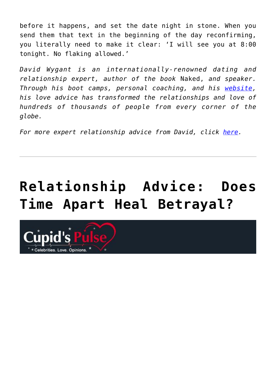before it happens, and set the date night in stone. When you send them that text in the beginning of the day reconfirming, you literally need to make it clear: 'I will see you at 8:00 tonight. No flaking allowed.'

*David Wygant is an internationally-renowned dating and relationship expert, author of the book* Naked, *and speaker. Through his boot camps, personal coaching, and his [website,](http://www.davidwygant.com/) his love advice has transformed the relationships and love of hundreds of thousands of people from every corner of the globe.* 

*For more expert relationship advice from David, click [here.](http://cupidspulse.com/relationship-dating-experts/david-wygant-dating-coach/)*

# **[Relationship Advice: Does](https://cupidspulse.com/115396/relationship-advice-time-apart-heal-betrayal/) [Time Apart Heal Betrayal?](https://cupidspulse.com/115396/relationship-advice-time-apart-heal-betrayal/)**

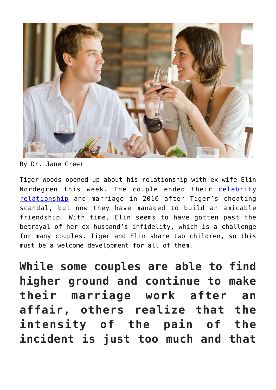

By Dr. Jane Greer

Tiger Woods opened up about his relationship with ex-wife Elin Nordegren this week. The couple ended their [celebrity](http://cupidspulse.com/celebrity-relationships/) [relationship](http://cupidspulse.com/celebrity-relationships/) and marriage in 2010 after Tiger's cheating scandal, but now they have managed to build an amicable friendship. With time, Elin seems to have gotten past the betrayal of her ex-husband's infidelity, which is a challenge for many couples. Tiger and Elin share two children, so this must be a welcome development for all of them.

**While some couples are able to find higher ground and continue to make their marriage work after an affair, others realize that the intensity of the pain of the incident is just too much and that**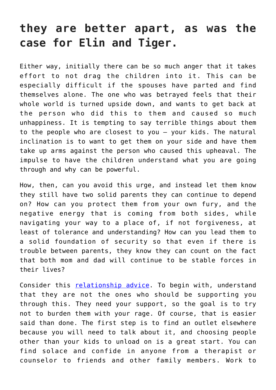### **they are better apart, as was the case for Elin and Tiger.**

Either way, initially there can be so much anger that it takes effort to not drag the children into it. This can be especially difficult if the spouses have parted and find themselves alone. The one who was betrayed feels that their whole world is turned upside down, and wants to get back at the person who did this to them and caused so much unhappiness. It is tempting to say terrible things about them to the people who are closest to you – your kids. The natural inclination is to want to get them on your side and have them take up arms against the person who caused this upheaval. The impulse to have the children understand what you are going through and why can be powerful.

How, then, can you avoid this urge, and instead let them know they still have two solid parents they can continue to depend on? How can you protect them from your own fury, and the negative energy that is coming from both sides, while navigating your way to a place of, if not forgiveness, at least of tolerance and understanding? How can you lead them to a solid foundation of security so that even if there is trouble between parents, they know they can count on the fact that both mom and dad will continue to be stable forces in their lives?

Consider this [relationship advice](http://cupidspulse.com/relationship-experts/). To begin with, understand that they are not the ones who should be supporting you through this. They need your support, so the goal is to try not to burden them with your rage. Of course, that is easier said than done. The first step is to find an outlet elsewhere because you will need to talk about it, and choosing people other than your kids to unload on is a great start. You can find solace and confide in anyone from a therapist or counselor to friends and other family members. Work to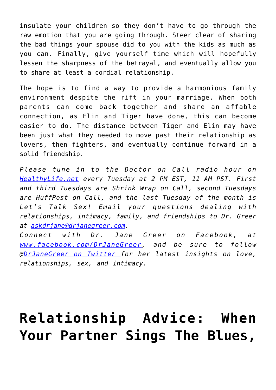insulate your children so they don't have to go through the raw emotion that you are going through. Steer clear of sharing the bad things your spouse did to you with the kids as much as you can. Finally, give yourself time which will hopefully lessen the sharpness of the betrayal, and eventually allow you to share at least a cordial relationship.

The hope is to find a way to provide a harmonious family environment despite the rift in your marriage. When both parents can come back together and share an affable connection, as Elin and Tiger have done, this can become easier to do. The distance between Tiger and Elin may have been just what they needed to move past their relationship as lovers, then fighters, and eventually continue forward in a solid friendship.

*Please tune in to the Doctor on Call radio hour on [HealthyLife.net](http://www.healthylife.net/) every Tuesday at 2 PM EST, 11 AM PST. First and third Tuesdays are Shrink Wrap on Call, second Tuesdays are HuffPost on Call, and the last Tuesday of the month is Let's Talk Sex! Email your questions dealing with relationships, intimacy, family, and friendships to Dr. Greer at [askdrjane@drjanegreer.com](mailto:askdrjane@drjanegreer.com).*

*Connect with Dr. Jane Greer on Facebook, at [www.facebook.com/DrJaneGreer,](http://www.facebook.com/DrJaneGreer) and be sure to follow @[DrJaneGreer on Twitter f](https://twitter.com/#!/DrJaneGreer)or her latest insights on love, relationships, sex, and intimacy.*

# **[Relationship Advice: When](https://cupidspulse.com/115351/relationship-advice-singing-blues-depression/) [Your Partner Sings The Blues,](https://cupidspulse.com/115351/relationship-advice-singing-blues-depression/)**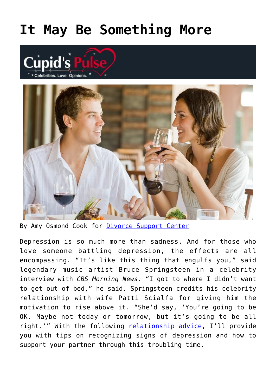# **[It May Be Something More](https://cupidspulse.com/115351/relationship-advice-singing-blues-depression/)**





By Amy Osmond Cook for [Divorce Support Center](http://www.divorcesupportcenter.com/)

Depression is so much more than sadness. And for those who love someone battling depression, the effects are all encompassing. "It's like this thing that engulfs you," said legendary music artist Bruce Springsteen in a celebrity interview with *CBS Morning News*. "I got to where I didn't want to get out of bed," he said. Springsteen credits his celebrity relationship with wife Patti Scialfa for giving him the motivation to rise above it. "She'd say, 'You're going to be OK. Maybe not today or tomorrow, but it's going to be all right.'" With the following [relationship advice,](http://cupidspulse.com/relationship-experts/) I'll provide you with tips on recognizing signs of depression and how to support your partner through this troubling time.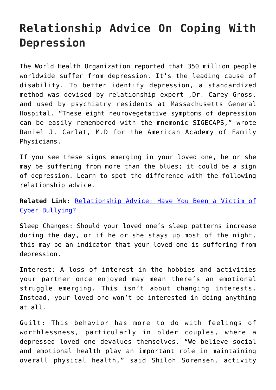## **Relationship Advice On Coping With Depression**

The World Health Organization reported that 350 million people worldwide suffer from depression. It's the leading cause of disability. To better identify depression, a standardized method was devised by relationship expert ,Dr. Carey Gross, and used by psychiatry residents at Massachusetts General Hospital. "These eight neurovegetative symptoms of depression can be easily remembered with the mnemonic SIGECAPS," wrote Daniel J. Carlat, M.D for the American Academy of Family Physicians.

If you see these signs emerging in your loved one, he or she may be suffering from more than the blues; it could be a sign of depression. Learn to spot the difference with the following relationship advice.

### **Related Link:** [Relationship Advice: Have You Been a Victim of](http://cupidspulse.com/111149/relationship-advice-cyber-bullying/) [Cyber Bullying?](http://cupidspulse.com/111149/relationship-advice-cyber-bullying/)

**S**leep Changes: Should your loved one's sleep patterns increase during the day, or if he or she stays up most of the night, this may be an indicator that your loved one is suffering from depression.

**I**nterest: A loss of interest in the hobbies and activities your partner once enjoyed may mean there's an emotional struggle emerging. This isn't about changing interests. Instead, your loved one won't be interested in doing anything at all.

**G**uilt: This behavior has more to do with feelings of worthlessness, particularly in older couples, where a depressed loved one devalues themselves. "We believe social and emotional health play an important role in maintaining overall physical health," said Shiloh Sorensen, activity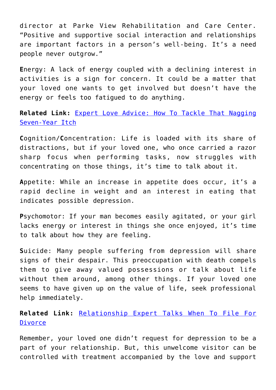director at Parke View Rehabilitation and Care Center. "Positive and supportive social interaction and relationships are important factors in a person's well-being. It's a need people never outgrow."

**E**nergy: A lack of energy coupled with a declining interest in activities is a sign for concern. It could be a matter that your loved one wants to get involved but doesn't have the energy or feels too fatigued to do anything.

**Related Link:** [Expert Love Advice: How To Tackle That Nagging](http://cupidspulse.com/94753/expert-love-advice-tackle-seven-year-itch/) [Seven-Year Itch](http://cupidspulse.com/94753/expert-love-advice-tackle-seven-year-itch/)

**C**ognition/**C**oncentration: Life is loaded with its share of distractions, but if your loved one, who once carried a razor sharp focus when performing tasks, now struggles with concentrating on those things, it's time to talk about it.

**A**ppetite: While an increase in appetite does occur, it's a rapid decline in weight and an interest in eating that indicates possible depression.

**P**sychomotor: If your man becomes easily agitated, or your girl lacks energy or interest in things she once enjoyed, it's time to talk about how they are feeling.

**S**uicide: Many people suffering from depression will share signs of their despair. This preoccupation with death compels them to give away valued possessions or talk about life without them around, among other things. If your loved one seems to have given up on the value of life, seek professional help immediately.

**Related Link:** [Relationship Expert Talks When To File For](http://cupidspulse.com/99601/relationship-expert-love-advice-filing-for-divorce/) [Divorce](http://cupidspulse.com/99601/relationship-expert-love-advice-filing-for-divorce/)

Remember, your loved one didn't request for depression to be a part of your relationship. But, this unwelcome visitor can be controlled with treatment accompanied by the love and support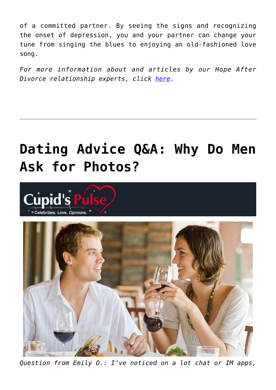of a committed partner. By seeing the signs and recognizing the onset of depression, you and your partner can change your tune from singing the blues to enjoying an old-fashioned love song.

*For more information about and articles by our Hope After Divorce relationship experts, click [here.](http://cupidspulse.com/relationship-dating-experts/hope-after-divorce-relationship-experts/)*

# **[Dating Advice Q&A: Why Do Men](https://cupidspulse.com/115299/dating-advice-qa-why-do-men-ask-for-photos/) [Ask for Photos?](https://cupidspulse.com/115299/dating-advice-qa-why-do-men-ask-for-photos/)**





*Question from Emily O.: I've noticed on a lot chat or IM apps,*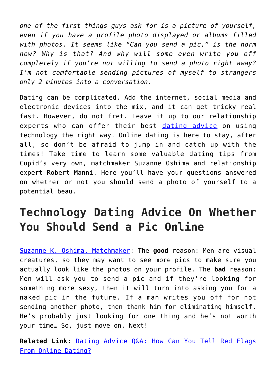*one of the first things guys ask for is a picture of yourself, even if you have a profile photo displayed or albums filled with photos. It seems like "Can you send a pic," is the norm now? Why is that? And why will some even write you off completely if you're not willing to send a photo right away? I'm not comfortable sending pictures of myself to strangers only 2 minutes into a conversation.*

Dating can be complicated. Add the internet, social media and electronic devices into the mix, and it can get tricky real fast. However, do not fret. Leave it up to our relationship experts who can offer their best [dating advice](http://cupidspulse.com/videos/dating-advice-videos/) on using technology the right way. Online dating is here to stay, after all, so don't be afraid to jump in and catch up with the times! Take time to learn some valuable dating tips from Cupid's very own, matchmaker Suzanne Oshima and relationship expert Robert Manni. Here you'll have your questions answered on whether or not you should send a photo of yourself to a potential beau.

## **Technology Dating Advice On Whether You Should Send a Pic Online**

[Suzanne K. Oshima, Matchmaker:](http://www.dreambachelor.com/) The **good** reason: Men are visual creatures, so they may want to see more pics to make sure you actually look like the photos on your profile. The **bad** reason: Men will ask you to send a pic and if they're looking for something more sexy, then it will turn into asking you for a naked pic in the future. If a man writes you off for not sending another photo, then thank him for eliminating himself. He's probably just looking for one thing and he's not worth your time… So, just move on. Next!

**Related Link:** [Dating Advice Q&A: How Can You Tell Red Flags](http://cupidspulse.com/114717/dating-advice-tell-red-flags-online/) [From Online Dating?](http://cupidspulse.com/114717/dating-advice-tell-red-flags-online/)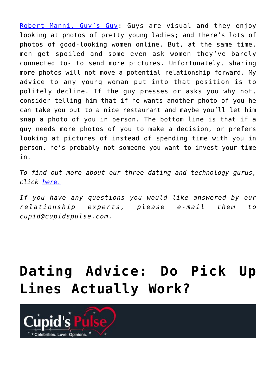[Robert Manni, Guy's Guy:](http://www.robertmanni.com/) Guys are visual and they enjoy looking at photos of pretty young ladies; and there's lots of photos of good-looking women online. But, at the same time, men get spoiled and some even ask women they've barely connected to- to send more pictures. Unfortunately, sharing more photos will not move a potential relationship forward. My advice to any young woman put into that position is to politely decline. If the guy presses or asks you why not, consider telling him that if he wants another photo of you he can take you out to a nice restaurant and maybe you'll let him snap a photo of you in person. The bottom line is that if a guy needs more photos of you to make a decision, or prefers looking at pictures of instead of spending time with you in person, he's probably not someone you want to invest your time in.

*To find out more about our three dating and technology gurus, click [here.](http://cupidspulse.com/relationship-dating-experts/oshima-wyatt-manni-technology-experts/)*

*If you have any questions you would like answered by our relationship experts, please e-mail them to cupid@cupidspulse.com.*

# **[Dating Advice: Do Pick Up](https://cupidspulse.com/115166/dating-advice-pick-up-lines-work/) [Lines Actually Work?](https://cupidspulse.com/115166/dating-advice-pick-up-lines-work/)**

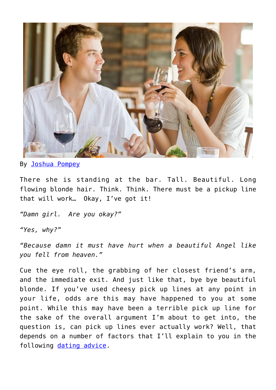

By [Joshua Pompey](http://cupidspulse.com/relationship-experts/joshua-pompey/)

There she is standing at the bar. Tall. Beautiful. Long flowing blonde hair. Think. Think. There must be a pickup line that will work… Okay, I've got it!

*"Damn girl. Are you okay?"* 

*"Yes, why?"*

*"Because damn it must have hurt when a beautiful Angel like you fell from heaven."*

Cue the eye roll, the grabbing of her closest friend's arm, and the immediate exit. And just like that, bye bye beautiful blonde. If you've used cheesy pick up lines at any point in your life, odds are this may have happened to you at some point. While this may have been a terrible pick up line for the sake of the overall argument I'm about to get into, the question is, can pick up lines ever actually work? Well, that depends on a number of factors that I'll explain to you in the following [dating advice](http://cupidspulse.com/relationship-experts/).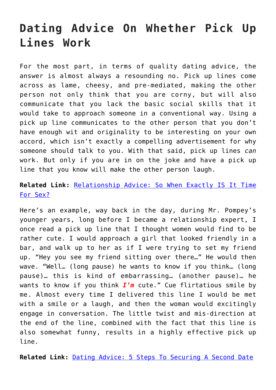## **Dating Advice On Whether Pick Up Lines Work**

For the most part, in terms of quality dating advice, the answer is almost always a resounding no. Pick up lines come across as lame, cheesy, and pre-mediated, making the other person not only think that you are corny, but will also communicate that you lack the basic social skills that it would take to approach someone in a conventional way. Using a pick up line communicates to the other person that you don't have enough wit and originality to be interesting on your own accord, which isn't exactly a compelling advertisement for why someone should talk to you. With that said, pick up lines *can* work. But only if you are in on the joke and have a pick up line that you know will make the other person laugh.

### **Related Link:** [Relationship Advice: So When Exactly IS It Time](http://cupidspulse.com/114660/relationship-advice-so-when-exactly-is-it-time-for-sex/) [For Sex?](http://cupidspulse.com/114660/relationship-advice-so-when-exactly-is-it-time-for-sex/)

Here's an example, way back in the day, during Mr. Pompey's younger years, long before I became a relationship expert, I once read a pick up line that I thought women would find to be rather cute. I would approach a girl that looked friendly in a bar, and walk up to her as if I were trying to set my friend up. "Hey you see my friend sitting over there…" He would then wave. "Well… (long pause) he wants to know if you think… (long pause)… this is kind of embarrassing… (another pause)… he wants to know if you think *I'm* cute." Cue flirtatious smile by me. Almost every time I delivered this line I would be met with a smile or a laugh, and then the woman would excitingly engage in conversation. The little twist and mis-direction at the end of the line, combined with the fact that this line is also somewhat funny, results in a highly effective pick up line.

**Related Link:** [Dating Advice: 5 Steps To Securing A Second Date](http://cupidspulse.com/108920/dating-advice-securing-second-date/)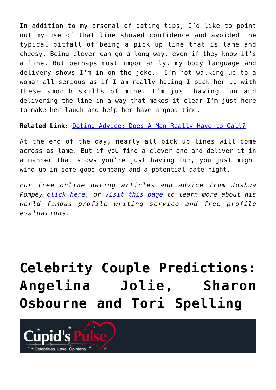In addition to my arsenal of dating tips, I'd like to point out my use of that line showed confidence and avoided the typical pitfall of being a pick up line that is lame and cheesy. Being clever can go a long way, even if they know it's a line. But perhaps most importantly, my body language and delivery shows I'm in on the joke. I'm not walking up to a woman all serious as if I am really hoping I pick her up with these smooth skills of mine. I'm just having fun and delivering the line in a way that makes it clear I'm just here to make her laugh and help her have a good time.

**Related Link:** [Dating Advice: Does A Man Really Have to Call?](http://cupidspulse.com/107809/dating-advice-calling-after-dating/)

At the end of the day, nearly all pick up lines will come across as lame. But if you find a clever one and deliver it in a manner that shows you're just having fun, you just might wind up in some good company and a potential date night.

*For free online dating articles and advice from Joshua Pompey [click here](http://www.nemvip.com/dating-articles-advice), or [visit this page](http://www.nemvip.com/online-dating-profile-writing-service-for-women) to learn more about his world famous profile writing service and free profile evaluations.*

# **[Celebrity Couple Predictions:](https://cupidspulse.com/115069/celebrity-couple-predictions-angelina-jolie-sharon-osbourne-tori-spelling/) [Angelina Jolie, Sharon](https://cupidspulse.com/115069/celebrity-couple-predictions-angelina-jolie-sharon-osbourne-tori-spelling/) [Osbourne and Tori Spelling](https://cupidspulse.com/115069/celebrity-couple-predictions-angelina-jolie-sharon-osbourne-tori-spelling/)**

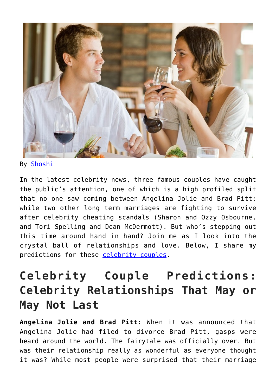

#### By [Shoshi](http://cupidspulse.com/relationship-experts/yolanda-shoshana/)

In the latest celebrity news, three famous couples have caught the public's attention, one of which is a high profiled split that no one saw coming between Angelina Jolie and Brad Pitt; while two other long term marriages are fighting to survive after celebrity cheating scandals (Sharon and Ozzy Osbourne, and Tori Spelling and Dean McDermott). But who's stepping out this time around hand in hand? Join me as I look into the crystal ball of relationships and love. Below, I share my predictions for these [celebrity couples](http://cupidspulse.com/celebrity-relationships/long-term-relationships-flings/).

## **Celebrity Couple Predictions: Celebrity Relationships That May or May Not Last**

**Angelina Jolie and Brad Pitt:** When it was announced that Angelina Jolie had filed to divorce Brad Pitt, gasps were heard around the world. The fairytale was officially over. But was their relationship really as wonderful as everyone thought it was? While most people were surprised that their marriage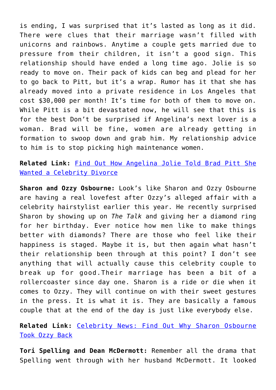is ending, I was surprised that it's lasted as long as it did. There were clues that their marriage wasn't filled with unicorns and rainbows. Anytime a couple gets married due to pressure from their children, it isn't a good sign. This relationship should have ended a long time ago. Jolie is so ready to move on. Their pack of kids can beg and plead for her to go back to Pitt, but it's a wrap. Rumor has it that she has already moved into a private residence in Los Angeles that cost \$30,000 per month! It's time for both of them to move on. While Pitt is a bit devastated now, he will see that this is for the best Don't be surprised if Angelina's next lover is a woman. Brad will be fine, women are already getting in formation to swoop down and grab him. My relationship advice to him is to stop picking high maintenance women.

### **Related Link:** [Find Out How Angelina Jolie Told Brad Pitt She](http://cupidspulse.com/114819/how-angelina-jolie-told-brad-pitt-wanted-celebrity-divorce/) [Wanted a Celebrity Divorce](http://cupidspulse.com/114819/how-angelina-jolie-told-brad-pitt-wanted-celebrity-divorce/)

**Sharon and Ozzy Osbourne:** Look's like Sharon and Ozzy Osbourne are having a real lovefest after Ozzy's alleged affair with a celebrity hairstylist earlier this year. He recently surprised Sharon by showing up on *The Talk* and giving her a diamond ring for her birthday. Ever notice how men like to make things better with diamonds? There are those who feel like their happiness is staged. Maybe it is, but then again what hasn't their relationship been through at this point? I don't see anything that will actually cause this celebrity couple to break up for good.Their marriage has been a bit of a rollercoaster since day one. Sharon is a ride or die when it comes to Ozzy. They will continue on with their sweet gestures in the press. It is what it is. They are basically a famous couple that at the end of the day is just like everybody else.

**Related Link:** [Celebrity News: Find Out Why Sharon Osbourne](http://cupidspulse.com/114906/celebrity-news-why-sharon-osbourne-took-ozzy-back/) [Took Ozzy Back](http://cupidspulse.com/114906/celebrity-news-why-sharon-osbourne-took-ozzy-back/)

**Tori Spelling and Dean McDermott:** Remember all the drama that Spelling went through with her husband McDermott. It looked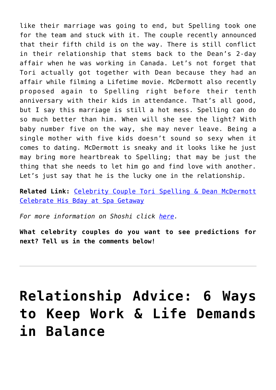like their marriage was going to end, but Spelling took one for the team and stuck with it. The couple recently announced that their fifth child is on the way. There is still conflict in their relationship that stems back to the Dean's 2-day affair when he was working in Canada. Let's not forget that Tori actually got together with Dean because they had an affair while filming a Lifetime movie. McDermott also recently proposed again to Spelling right before their tenth anniversary with their kids in attendance. That's all good, but I say this marriage is still a hot mess. Spelling can do so much better than him. When will she see the light? With baby number five on the way, she may never leave. Being a single mother with five kids doesn't sound so sexy when it comes to dating. McDermott is sneaky and it looks like he just may bring more heartbreak to Spelling; that may be just the thing that she needs to let him go and find love with another. Let's just say that he is the lucky one in the relationship.

**Related Link:** [Celebrity Couple Tori Spelling & Dean McDermott](http://cupidspulse.com/101808/celebrity-couple-tori-spelling-dean-mcdermott-celebrate-bday-spa-getaway/) [Celebrate His Bday at Spa Getaway](http://cupidspulse.com/101808/celebrity-couple-tori-spelling-dean-mcdermott-celebrate-bday-spa-getaway/)

*For more information on Shoshi click [here.](http://cupidspulse.com/relationship-dating-experts/yolanda-shoshana-shoshi-lifestyle-provocateur/)*

**What celebrity couples do you want to see predictions for next? Tell us in the comments below!**

# **[Relationship Advice: 6 Ways](https://cupidspulse.com/115027/relationship-advice-keep-work-life-balance/) [to Keep Work & Life Demands](https://cupidspulse.com/115027/relationship-advice-keep-work-life-balance/) [in Balance](https://cupidspulse.com/115027/relationship-advice-keep-work-life-balance/)**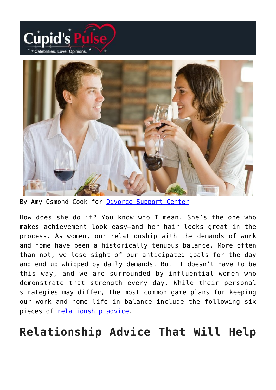



By Amy Osmond Cook for [Divorce Support Center](http://www.divorcesupportcenter.com/)

How does she do it? You know who I mean. She's the one who makes achievement look easy—and her hair looks great in the process. As women, our relationship with the demands of work and home have been a historically tenuous balance. More often than not, we lose sight of our anticipated goals for the day and end up whipped by daily demands. But it doesn't have to be this way, and we are surrounded by influential women who demonstrate that strength every day. While their personal strategies may differ, the most common game plans for keeping our work and home life in balance include the following six pieces of [relationship advice](http://cupidspulse.com/relationship-experts/).

## **Relationship Advice That Will Help**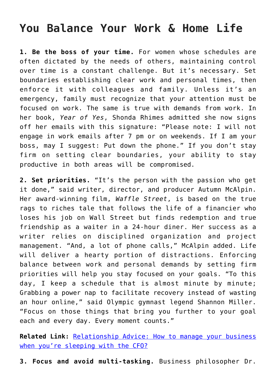### **You Balance Your Work & Home Life**

**1. Be the boss of your time.** For women whose schedules are often dictated by the needs of others, maintaining control over time is a constant challenge. But it's necessary. Set boundaries establishing clear work and personal times, then enforce it with colleagues and family. Unless it's an emergency, family must recognize that your attention must be focused on work. The same is true with demands from work. In her book, *Year of Yes*, Shonda Rhimes admitted she now signs off her emails with this signature: "Please note: I will not engage in work emails after 7 pm or on weekends. If I am your boss, may I suggest: Put down the phone." If you don't stay firm on setting clear boundaries, your ability to stay productive in both areas will be compromised.

**2. Set priorities.** "It's the person with the passion who get it done," said writer, director, and producer Autumn McAlpin. Her award-winning film, *Waffle Street*, is based on the true rags to riches tale that follows the life of a financier who loses his job on Wall Street but finds redemption and true friendship as a waiter in a 24-hour diner. Her success as a writer relies on disciplined organization and project management. "And, a lot of phone calls," McAlpin added. Life will deliver a hearty portion of distractions. Enforcing balance between work and personal demands by setting firm priorities will help you stay focused on your goals. "To this day, I keep a schedule that is almost minute by minute; Grabbing a power nap to facilitate recovery instead of wasting an hour online," said Olympic gymnast legend Shannon Miller. "Focus on those things that bring you further to your goal each and every day. Every moment counts."

**Related Link:** [Relationship Advice: How to manage your business](http://cupidspulse.com/114785/relationship-advice-business-sleeping-with-cfo/) [when you're sleeping with the CFO?](http://cupidspulse.com/114785/relationship-advice-business-sleeping-with-cfo/)

**3. Focus and avoid multi-tasking.** Business philosopher Dr.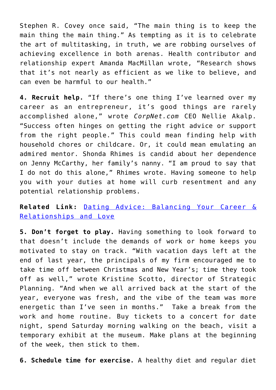Stephen R. Covey once said, "The main thing is to keep the main thing the main thing." As tempting as it is to celebrate the art of multitasking, in truth, we are robbing ourselves of achieving excellence in both arenas. Health contributor and relationship expert Amanda MacMillan wrote, "Research shows that it's not nearly as efficient as we like to believe, and can even be harmful to our health."

**4. Recruit help.** "If there's one thing I've learned over my career as an entrepreneur, it's good things are rarely accomplished alone," wrote *CorpNet.com* CEO Nellie Akalp. "Success often hinges on getting the right advice or support from the right people." This could mean finding help with household chores or childcare. Or, it could mean emulating an admired mentor. Shonda Rhimes is candid about her dependence on Jenny McCarthy, her family's nanny. "I am proud to say that I do not do this alone," Rhimes wrote. Having someone to help you with your duties at home will curb resentment and any potential relationship problems.

### **Related Link:** [Dating Advice: Balancing Your Career &](http://cupidspulse.com/101543/dating-advice-balancing-career-relationships-and-love/) [Relationships and Love](http://cupidspulse.com/101543/dating-advice-balancing-career-relationships-and-love/)

**5. Don't forget to play.** Having something to look forward to that doesn't include the demands of work or home keeps you motivated to stay on track. "With vacation days left at the end of last year, the principals of my firm encouraged me to take time off between Christmas and New Year's; time they took off as well," wrote Kristine Scotto, director of Strategic Planning. "And when we all arrived back at the start of the year, everyone was fresh, and the vibe of the team was more energetic than I've seen in months." Take a break from the work and home routine. Buy tickets to a concert for date night, spend Saturday morning walking on the beach, visit a temporary exhibit at the museum. Make plans at the beginning of the week, then stick to them.

**6. Schedule time for exercise.** A healthy diet and regular diet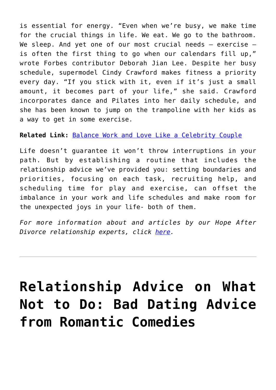is essential for energy. "Even when we're busy, we make time for the crucial things in life. We eat. We go to the bathroom. We sleep. And yet one of our most crucial needs - exercise is often the first thing to go when our calendars fill up," wrote Forbes contributor Deborah Jian Lee. Despite her busy schedule, supermodel Cindy Crawford makes fitness a priority every day. "If you stick with it, even if it's just a small amount, it becomes part of your life," she said. Crawford incorporates dance and Pilates into her daily schedule, and she has been known to jump on the trampoline with her kids as a way to get in some exercise.

**Related Link:** [Balance Work and Love Like a Celebrity Couple](http://cupidspulse.com/82572/project-soulmate-balance-work-and-love-like-a-celebrity/)

Life doesn't guarantee it won't throw interruptions in your path. But by establishing a routine that includes the relationship advice we've provided you: setting boundaries and priorities, focusing on each task, recruiting help, and scheduling time for play and exercise, can offset the imbalance in your work and life schedules and make room for the unexpected joys in your life- both of them.

*For more information about and articles by our Hope After Divorce relationship experts, click [here.](http://cupidspulse.com/relationship-dating-experts/hope-after-divorce-relationship-experts/)*

# **[Relationship Advice on What](https://cupidspulse.com/114985/relationship-advice-bad-romantic-comedies/) [Not to Do: Bad Dating Advice](https://cupidspulse.com/114985/relationship-advice-bad-romantic-comedies/) [from Romantic Comedies](https://cupidspulse.com/114985/relationship-advice-bad-romantic-comedies/)**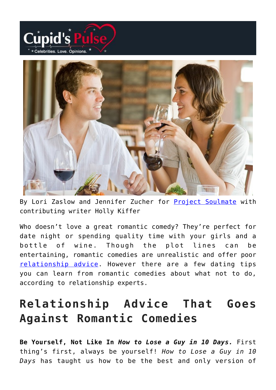



By Lori Zaslow and Jennifer Zucher for [Project Soulmate](http://www.projectsoulmate.com/) with contributing writer Holly Kiffer

Who doesn't love a great romantic comedy? They're perfect for date night or spending quality time with your girls and a bottle of wine. Though the plot lines can be entertaining, romantic comedies are unrealistic and offer poor [relationship advice](http://cupidspulse.com/relationship-experts/). However there are a few dating tips you can learn from romantic comedies about what not to do, according to relationship experts.

## **Relationship Advice That Goes Against Romantic Comedies**

**Be Yourself, Not Like In** *How to Lose a Guy in 10 Days.* First thing's first, always be yourself! *How to Lose a Guy in 10 Days* has taught us how to be the best and only version of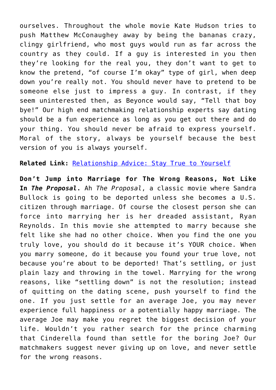ourselves. Throughout the whole movie Kate Hudson tries to push Matthew McConaughey away by being the bananas crazy, clingy girlfriend, who most guys would run as far across the country as they could. If a guy is interested in you then they're looking for the real you, they don't want to get to know the pretend, "of course I'm okay" type of girl, when deep down you're really not. You should never have to pretend to be someone else just to impress a guy. In contrast, if they seem uninterested then, as Beyonce would say, "Tell that boy bye!" Our high end matchmaking relationship experts say dating should be a fun experience as long as you get out there and do your thing. You should never be afraid to express yourself. Moral of the story, always be yourself because the best version of you is always yourself.

**Related Link:** [Relationship Advice: Stay True to Yourself](http://cupidspulse.com/112986/relationship-advice-stay-true-yourself/)

**Don't Jump into Marriage for The Wrong Reasons, Not Like In** *The Proposal***.** Ah *The Proposal*, a classic movie where Sandra Bullock is going to be deported unless she becomes a U.S. citizen through marriage. Of course the closest person she can force into marrying her is her dreaded assistant, Ryan Reynolds. In this movie she attempted to marry because she felt like she had no other choice. When you find the one you truly love, you should do it because it's YOUR choice. When you marry someone, do it because you found your true love, not because you're about to be deported! That's settling, or just plain lazy and throwing in the towel. Marrying for the wrong reasons, like "settling down" is not the resolution; instead of quitting on the dating scene, push yourself to find the one. If you just settle for an average Joe, you may never experience full happiness or a potentially happy marriage. The average Joe may make you regret the biggest decision of your life. Wouldn't you rather search for the prince charming that Cinderella found than settle for the boring Joe? Our matchmakers suggest never giving up on love, and never settle for the wrong reasons.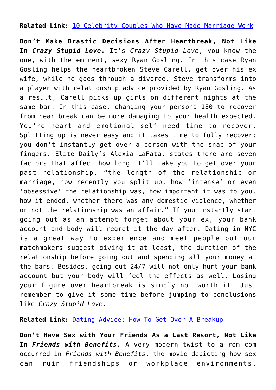**Related Link:** [10 Celebrity Couples Who Have Made Marriage Work](http://cupidspulse.com/114737/10-celebrity-couples-who-have-made-marriage-work/)

**Don't Make Drastic Decisions After Heartbreak, Not Like In** *Crazy Stupid Love***.** It's *Crazy Stupid Love*, you know the one, with the eminent, sexy Ryan Gosling. In this case Ryan Gosling helps the heartbroken Steve Carell, get over his ex wife, while he goes through a divorce. Steve transforms into a player with relationship advice provided by Ryan Gosling. As a result, Carell picks up girls on different nights at the same bar. In this case, changing your persona 180 to recover from heartbreak can be more damaging to your health expected. You're heart and emotional self need time to recover. Splitting up is never easy and it takes time to fully recover; you don't instantly get over a person with the snap of your fingers. Elite Daily's Alexia LaFata, states there are seven factors that affect how long it'll take you to get over your past relationship, "the length of the relationship or marriage, how recently you split up, how 'intense' or even 'obsessive' the relationship was, how important it was to you, how it ended, whether there was any domestic violence, whether or not the relationship was an affair." If you instantly start going out as an attempt forget about your ex, your bank account and body will regret it the day after. Dating in NYC is a great way to experience and meet people but our matchmakers suggest giving it at least, the duration of the relationship before going out and spending all your money at the bars. Besides, going out 24/7 will not only hurt your bank account but your body will feel the effects as well. Losing your figure over heartbreak is simply not worth it. Just remember to give it some time before jumping to conclusions like *Crazy Stupid Love*.

**Related Link:** [Dating Advice: How To Get Over A Breakup](http://cupidspulse.com/114615/dating-advice-how-get-over-breakup/)

**Don't Have Sex with Your Friends As a Last Resort, Not Like In** *Friends with Benefits***.** A very modern twist to a rom com occurred in *Friends with Benefits*, the movie depicting how sex can ruin friendships or workplace environments.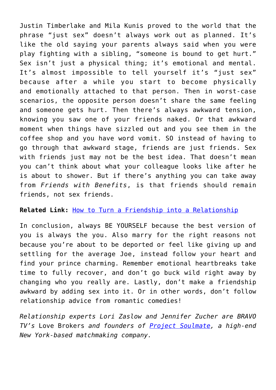Justin Timberlake and Mila Kunis proved to the world that the phrase "just sex" doesn't always work out as planned. It's like the old saying your parents always said when you were play fighting with a sibling, "someone is bound to get hurt." Sex isn't just a physical thing; it's emotional and mental. It's almost impossible to tell yourself it's "just sex" because after a while you start to become physically and emotionally attached to that person. Then in worst-case scenarios, the opposite person doesn't share the same feeling and someone gets hurt. Then there's always awkward tension, knowing you saw one of your friends naked. Or that awkward moment when things have sizzled out and you see them in the coffee shop and you have word vomit. SO instead of having to go through that awkward stage, friends are just friends. Sex with friends just may not be the best idea. That doesn't mean you can't think about what your colleague looks like after he is about to shower. But if there's anything you can take away from *Friends with Benefits*, is that friends should remain friends, not sex friends.

#### **Related Link:** [How to Turn a Friendship into a Relationship](http://cupidspulse.com/76599/friendship-into-a-relationship/)

In conclusion, always BE YOURSELF because the best version of you is always the you. Also marry for the right reasons not because you're about to be deported or feel like giving up and settling for the average Joe, instead follow your heart and find your prince charming. Remember emotional heartbreaks take time to fully recover, and don't go buck wild right away by changing who you really are. Lastly, don't make a friendship awkward by adding sex into it. Or in other words, don't follow relationship advice from romantic comedies!

*Relationship experts Lori Zaslow and Jennifer Zucher are BRAVO TV's* Love Brokers *and founders of [Project Soulmate](http://cupidspulse.com/relationship-dating-experts/lori-zaslow-jennifer-zucher-project-soulmate/), a high-end New York-based matchmaking company.*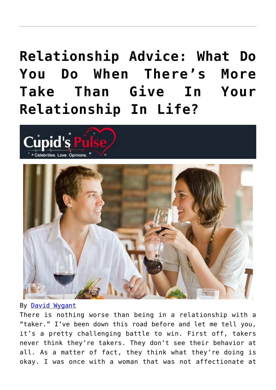# **[Relationship Advice: What Do](https://cupidspulse.com/114923/relationship-advice-more-take-than-give/) [You Do When There's More](https://cupidspulse.com/114923/relationship-advice-more-take-than-give/) [Take Than Give In Your](https://cupidspulse.com/114923/relationship-advice-more-take-than-give/) [Relationship In Life?](https://cupidspulse.com/114923/relationship-advice-more-take-than-give/)**





#### By [David Wygant](http://cupidspulse.com/relationship-dating-experts/david-wygant-dating-coach/)

There is nothing worse than being in a relationship with a "taker." I've been down this road before and let me tell you, it's a pretty challenging battle to win. First off, takers never think they're takers. They don't see their behavior at all. As a matter of fact, they think what they're doing is okay. I was once with a woman that was not affectionate at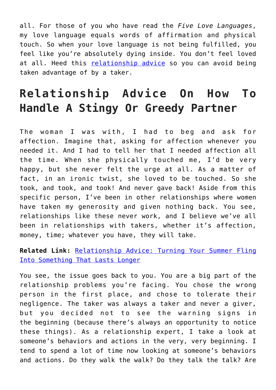all. For those of you who have read the *Five Love Languages*, my love language equals words of affirmation and physical touch. So when your love language is not being fulfilled, you feel like you're absolutely dying inside. You don't feel loved at all. Heed this [relationship advice](http://cupidspulse.com/relationship-experts/) so you can avoid being taken advantage of by a taker.

## **Relationship Advice On How To Handle A Stingy Or Greedy Partner**

The woman I was with, I had to beg and ask for affection. Imagine that, asking for affection whenever you needed it. And I had to tell her that I needed affection all the time. When she physically touched me, I'd be very happy, but she never felt the urge at all. As a matter of fact, in an ironic twist, she loved to be touched. So she took, and took, and took! And never gave back! Aside from this specific person, I've been in other relationships where women have taken my generosity and given nothing back. You see, relationships like these never work, and I believe we've all been in relationships with takers, whether it's affection, money, time; whatever you have, they will take.

**Related Link:** [Relationship Advice: Turning Your Summer Fling](http://cupidspulse.com/114084/relationship-advice-summer-fling-into-something-more/) [Into Something That Lasts Longer](http://cupidspulse.com/114084/relationship-advice-summer-fling-into-something-more/)

You see, the issue goes back to you. You are a big part of the relationship problems you're facing. You chose the wrong person in the first place, and chose to tolerate their negligence. The taker was always a taker and never a giver, but you decided not to see the warning signs in the beginning (because there's always an opportunity to notice these things). As a relationship expert, I take a look at someone's behaviors and actions in the very, very beginning. I tend to spend a lot of time now looking at someone's behaviors and actions. Do they walk the walk? Do they talk the talk? Are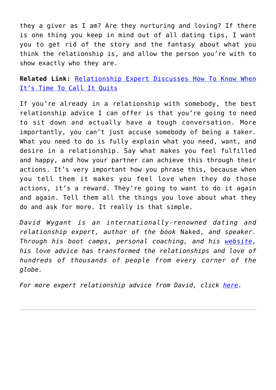they a giver as I am? Are they nurturing and loving? If there is one thing you keep in mind out of all dating tips, I want you to get rid of the story and the fantasy about what you think the relationship is, and allow the person you're with to show exactly who they are.

### **Related Link:** [Relationship Expert Discusses How To Know When](http://cupidspulse.com/99656/relationship-expert-david-wygant-when-its-time-to-breakup/) [It's Time To Call It Quits](http://cupidspulse.com/99656/relationship-expert-david-wygant-when-its-time-to-breakup/)

If you're already in a relationship with somebody, the best relationship advice I can offer is that you're going to need to sit down and actually have a tough conversation. More importantly, you can't just accuse somebody of being a taker. What you need to do is fully explain what you need, want, and desire in a relationship. Say what makes you feel fulfilled and happy, and how your partner can achieve this through their actions. It's very important how you phrase this, because when you tell them it makes you feel love when they do those actions, it's a reward. They're going to want to do it again and again. Tell them all the things you love about what they do and ask for more. It really is that simple.

*David Wygant is an internationally-renowned dating and relationship expert, author of the book* Naked, *and speaker. Through his boot camps, personal coaching, and his [website,](http://www.davidwygant.com/) his love advice has transformed the relationships and love of hundreds of thousands of people from every corner of the globe.* 

*For more expert relationship advice from David, click [here.](http://cupidspulse.com/relationship-dating-experts/david-wygant-dating-coach/)*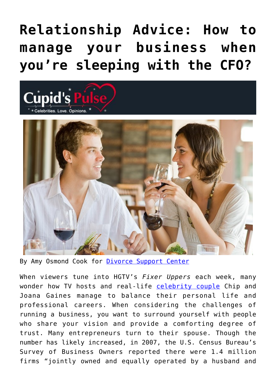# **[Relationship Advice: How to](https://cupidspulse.com/114785/relationship-advice-business-sleeping-with-cfo/) [manage your business when](https://cupidspulse.com/114785/relationship-advice-business-sleeping-with-cfo/) [you're sleeping with the CFO?](https://cupidspulse.com/114785/relationship-advice-business-sleeping-with-cfo/)**





By Amy Osmond Cook for **Divorce Support Center** 

When viewers tune into HGTV's *Fixer Uppers* each week, many wonder how TV hosts and real-life [celebrity couple](http://cupidspulse.com/celebrity-news/) Chip and Joana Gaines manage to balance their personal life and professional careers. When considering the challenges of running a business, you want to surround yourself with people who share your vision and provide a comforting degree of trust. Many entrepreneurs turn to their spouse. Though the number has likely increased, in 2007, the U.S. Census Bureau's Survey of Business Owners reported there were 1.4 million firms "jointly owned and equally operated by a husband and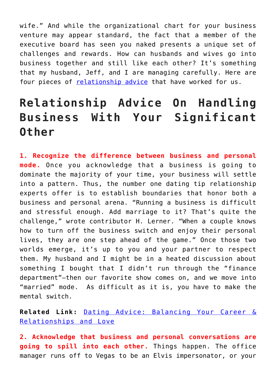wife." And while the organizational chart for your business venture may appear standard, the fact that a member of the executive board has seen you naked presents a unique set of challenges and rewards. How can husbands and wives go into business together and still like each other? It's something that my husband, Jeff, and I are managing carefully. Here are four pieces of [relationship advice](http://cupidspulse.com/relationship-experts/) that have worked for us.

## **Relationship Advice On Handling Business With Your Significant Other**

**1. Recognize the difference between business and personal mode.** Once you acknowledge that a business is going to dominate the majority of your time, your business will settle into a pattern. Thus, the number one dating tip relationship experts offer is to establish boundaries that honor both a business and personal arena. "Running a business is difficult and stressful enough. Add marriage to it? That's quite the challenge," wrote contributor H. Lerner. "When a couple knows how to turn off the business switch and enjoy their personal lives, they are one step ahead of the game." Once those two worlds emerge, it's up to you and your partner to respect them. My husband and I might be in a heated discussion about something I bought that I didn't run through the "finance department"–then our favorite show comes on, and we move into "married" mode. As difficult as it is, you have to make the mental switch.

**Related Link:** [Dating Advice: Balancing Your Career &](http://cupidspulse.com/101543/dating-advice-balancing-career-relationships-and-love/) [Relationships and Love](http://cupidspulse.com/101543/dating-advice-balancing-career-relationships-and-love/)

**2. Acknowledge that business and personal conversations are going to spill into each other.** Things happen. The office manager runs off to Vegas to be an Elvis impersonator, or your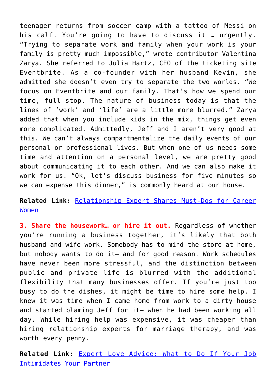teenager returns from soccer camp with a tattoo of Messi on his calf. You're going to have to discuss it … urgently. "Trying to separate work and family when your work is your family is pretty much impossible," wrote contributor Valentina Zarya. She referred to Julia Hartz, CEO of the ticketing site Eventbrite. As a co-founder with her husband Kevin, she admitted she doesn't even try to separate the two worlds. "We focus on Eventbrite and our family. That's how we spend our time, full stop. The nature of business today is that the lines of 'work' and 'life' are a little more blurred." Zarya added that when you include kids in the mix, things get even more complicated. Admittedly, Jeff and I aren't very good at this. We can't always compartmentalize the daily events of our personal or professional lives. But when one of us needs some time and attention on a personal level, we are pretty good about communicating it to each other. And we can also make it work for us. "Ok, let's discuss business for five minutes so we can expense this dinner," is commonly heard at our house.

### **Related Link:** [Relationship Expert Shares Must-Dos for Career](http://cupidspulse.com/92311/relationship-expert-career-women/) [Women](http://cupidspulse.com/92311/relationship-expert-career-women/)

**3. Share the housework… or hire it out.** Regardless of whether you're running a business together, it's likely that both husband and wife work. Somebody has to mind the store at home, but nobody wants to do it– and for good reason. Work schedules have never been more stressful, and the distinction between public and private life is blurred with the additional flexibility that many businesses offer. If you're just too busy to do the dishes, it might be time to hire some help. I knew it was time when I came home from work to a dirty house and started blaming Jeff for it– when he had been working all day. While hiring help was expensive, it was cheaper than hiring relationship experts for marriage therapy, and was worth every penny.

**Related Link:** [Expert Love Advice: What to Do If Your Job](http://cupidspulse.com/88522/expert-love-advice-sandra-fidelis-your-job-intimidates-your-partner/) [Intimidates Your Partner](http://cupidspulse.com/88522/expert-love-advice-sandra-fidelis-your-job-intimidates-your-partner/)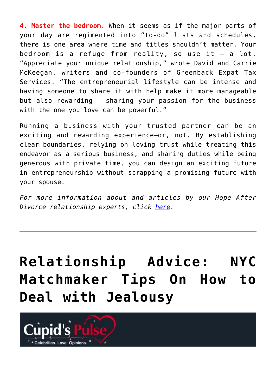**4. Master the bedroom.** When it seems as if the major parts of your day are regimented into "to-do" lists and schedules, there is one area where time and titles shouldn't matter. Your bedroom is a refuge from reality, so use it  $-$  a lot. "Appreciate your unique relationship," wrote David and Carrie McKeegan, writers and co-founders of Greenback Expat Tax Services. "The entrepreneurial lifestyle can be intense and having someone to share it with help make it more manageable but also rewarding — sharing your passion for the business with the one you love can be powerful."

Running a business with your trusted partner can be an exciting and rewarding experience—or, not. By establishing clear boundaries, relying on loving trust while treating this endeavor as a serious business, and sharing duties while being generous with private time, you can design an exciting future in entrepreneurship without scrapping a promising future with your spouse.

*For more information about and articles by our Hope After Divorce relationship experts, click [here.](http://cupidspulse.com/relationship-dating-experts/hope-after-divorce-relationship-experts/)*

# **[Relationship Advice: NYC](https://cupidspulse.com/114774/relationship-advice-tips-deal-with-jealousy/) [Matchmaker Tips On How to](https://cupidspulse.com/114774/relationship-advice-tips-deal-with-jealousy/) [Deal with Jealousy](https://cupidspulse.com/114774/relationship-advice-tips-deal-with-jealousy/)**

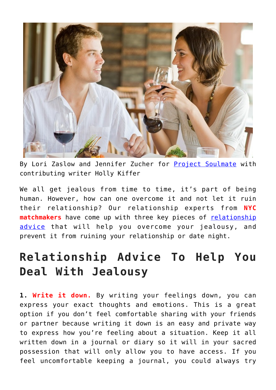

By Lori Zaslow and Jennifer Zucher for [Project Soulmate](http://www.projectsoulmate.com/) with contributing writer Holly Kiffer

We all get jealous from time to time, it's part of being human. However, how can one overcome it and not let it ruin their relationship? Our relationship experts from **NYC matchmakers** have come up with three key pieces of [relationship](http://cupidspulse.com/relationship-experts/) [advice](http://cupidspulse.com/relationship-experts/) that will help you overcome your jealousy, and prevent it from ruining your relationship or date night.

## **Relationship Advice To Help You Deal With Jealousy**

**1. Write it down.** By writing your feelings down, you can express your exact thoughts and emotions. This is a great option if you don't feel comfortable sharing with your friends or partner because writing it down is an easy and private way to express how you're feeling about a situation. Keep it all written down in a journal or diary so it will in your sacred possession that will only allow you to have access. If you feel uncomfortable keeping a journal, you could always try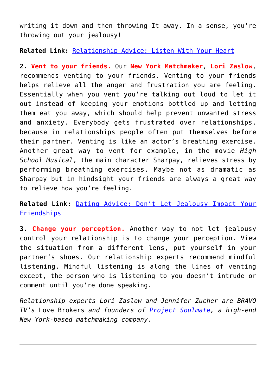writing it down and then throwing It away. In a sense, you're throwing out your jealousy!

**Related Link:** [Relationship Advice: Listen With Your Heart](http://cupidspulse.com/114250/relationship-advice-listen-with-your-heart/)

**2. Vent to your friends.** Our **[New York Matchmaker](http://www.projectsoulmate.com)**, **Lori Zaslow**, recommends venting to your friends. Venting to your friends helps relieve all the anger and frustration you are feeling. Essentially when you vent you're talking out loud to let it out instead of keeping your emotions bottled up and letting them eat you away, which should help prevent unwanted stress and anxiety. Everybody gets frustrated over relationships, because in relationships people often put themselves before their partner. Venting is like an actor's breathing exercise. Another great way to vent for example, in the movie *High School Musical*, the main character Sharpay, relieves stress by performing breathing exercises. Maybe not as dramatic as Sharpay but in hindsight your friends are always a great way to relieve how you're feeling.

**Related Link:** [Dating Advice: Don't Let Jealousy Impact Your](http://cupidspulse.com/100072/dating-advice-jealousy-friendships/) [Friendships](http://cupidspulse.com/100072/dating-advice-jealousy-friendships/)

**3. Change your perception.** Another way to not let jealousy control your relationship is to change your perception. View the situation from a different lens, put yourself in your partner's shoes. Our relationship experts recommend mindful listening. Mindful listening is along the lines of venting except, the person who is listening to you doesn't intrude or comment until you're done speaking.

*Relationship experts Lori Zaslow and Jennifer Zucher are BRAVO TV's* Love Brokers *and founders of [Project Soulmate](http://cupidspulse.com/relationship-dating-experts/lori-zaslow-jennifer-zucher-project-soulmate/), a high-end New York-based matchmaking company.*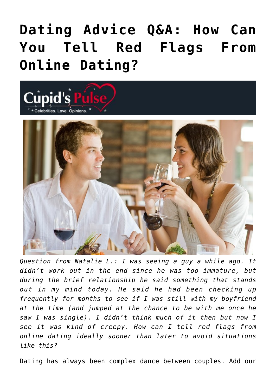# **[Dating Advice Q&A: How Can](https://cupidspulse.com/114717/dating-advice-tell-red-flags-online/) [You Tell Red Flags From](https://cupidspulse.com/114717/dating-advice-tell-red-flags-online/) [Online Dating?](https://cupidspulse.com/114717/dating-advice-tell-red-flags-online/)**





*Question from Natalie L.: I was seeing a guy a while ago. It didn't work out in the end since he was too immature, but during the brief relationship he said something that stands out in my mind today. He said he had been checking up frequently for months to see if I was still with my boyfriend at the time (and jumped at the chance to be with me once he saw I was single). I didn't think much of it then but now I see it was kind of creepy. How can I tell red flags from online dating ideally sooner than later to avoid situations like this?*

Dating has always been complex dance between couples. Add our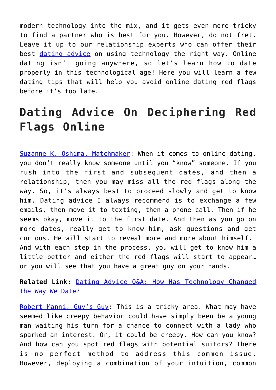modern technology into the mix, and it gets even more tricky to find a partner who is best for you. However, do not fret. Leave it up to our relationship experts who can offer their best [dating advice](http://cupidspulse.com/videos/dating-advice-videos/) on using technology the right way. Online dating isn't going anywhere, so let's learn how to date properly in this technological age! Here you will learn a few dating tips that will help you avoid online dating red flags before it's too late.

### **Dating Advice On Deciphering Red Flags Online**

[Suzanne K. Oshima, Matchmaker:](http://www.dreambachelor.com/) When it comes to online dating, you don't really know someone until you "know" someone. If you rush into the first and subsequent dates, and then a relationship, then you may miss all the red flags along the way. So, it's always best to proceed slowly and get to know him. Dating advice I always recommend is to exchange a few emails, then move it to texting, then a phone call. Then if he seems okay, move it to the first date. And then as you go on more dates, really get to know him, ask questions and get curious. He will start to reveal more and more about himself. And with each step in the process, you will get to know him a little better and either the red flags will start to appear… or you will see that you have a great guy on your hands.

**Related Link:** [Dating Advice Q&A: How Has Technology Changed](http://cupidspulse.com/113353/dating-advice-technology-online-dating/) [the Way We Date?](http://cupidspulse.com/113353/dating-advice-technology-online-dating/)

[Robert Manni, Guy's Guy:](http://www.robertmanni.com/) This is a tricky area. What may have seemed like creepy behavior could have simply been be a young man waiting his turn for a chance to connect with a lady who sparked an interest. Or, it could be creepy. How can you know? And how can you spot red flags with potential suitors? There is no perfect method to address this common issue. However, deploying a combination of your intuition, common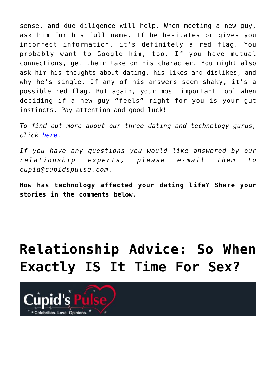sense, and due diligence will help. When meeting a new guy, ask him for his full name. If he hesitates or gives you incorrect information, it's definitely a red flag. You probably want to Google him, too. If you have mutual connections, get their take on his character. You might also ask him his thoughts about dating, his likes and dislikes, and why he's single. If any of his answers seem shaky, it's a possible red flag. But again, your most important tool when deciding if a new guy "feels" right for you is your gut instincts. Pay attention and good luck!

*To find out more about our three dating and technology gurus, click [here.](http://cupidspulse.com/relationship-dating-experts/oshima-wyatt-manni-technology-experts/)*

*If you have any questions you would like answered by our relationship experts, please e-mail them to cupid@cupidspulse.com.*

**How has technology affected your dating life? Share your stories in the comments below.**

# **[Relationship Advice: So When](https://cupidspulse.com/114660/relationship-advice-so-when-exactly-is-it-time-for-sex/) [Exactly IS It Time For Sex?](https://cupidspulse.com/114660/relationship-advice-so-when-exactly-is-it-time-for-sex/)**

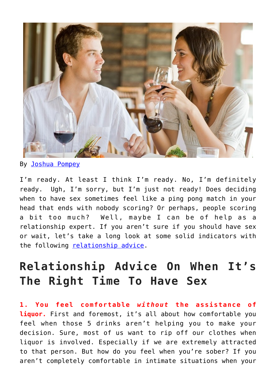

By [Joshua Pompey](http://cupidspulse.com/relationship-experts/joshua-pompey/)

I'm ready. At least I think I'm ready. No, I'm definitely ready. Ugh, I'm sorry, but I'm just not ready! Does deciding when to have sex sometimes feel like a ping pong match in your head that ends with nobody scoring? Or perhaps, people scoring a bit too much? Well, maybe I can be of help as a relationship expert. If you aren't sure if you should have sex or wait, let's take a long look at some solid indicators with the following [relationship advice.](http://cupidspulse.com/relationship-experts/)

## **Relationship Advice On When It's The Right Time To Have Sex**

**1. You feel comfortable** *without* **the assistance of liquor.** First and foremost, it's all about how comfortable you feel when those 5 drinks aren't helping you to make your decision. Sure, most of us want to rip off our clothes when liquor is involved. Especially if we are extremely attracted to that person. But how do you feel when you're sober? If you aren't completely comfortable in intimate situations when your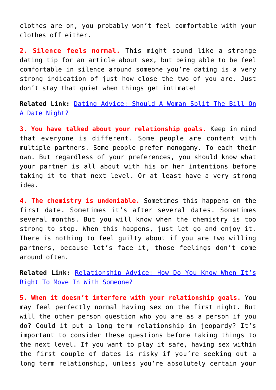clothes are on, you probably won't feel comfortable with your clothes off either.

**2. Silence feels normal.** This might sound like a strange dating tip for an article about sex, but being able to be feel comfortable in silence around someone you're dating is a very strong indication of just how close the two of you are. Just don't stay that quiet when things get intimate!

**Related Link:** [Dating Advice: Should A Woman Split The Bill On](http://cupidspulse.com/113519/dating-advice-split-bill-date-night/) [A Date Night?](http://cupidspulse.com/113519/dating-advice-split-bill-date-night/)

**3. You have talked about your relationship goals.** Keep in mind that everyone is different. Some people are content with multiple partners. Some people prefer monogamy. To each their own. But regardless of your preferences, you should know what your partner is all about with his or her intentions before taking it to that next level. Or at least have a very strong idea.

**4. The chemistry is undeniable.** Sometimes this happens on the first date. Sometimes it's after several dates. Sometimes several months. But you will know when the chemistry is too strong to stop. When this happens, just let go and enjoy it. There is nothing to feel guilty about if you are two willing partners, because let's face it, those feelings don't come around often.

**Related Link:** [Relationship Advice: How Do You Know When It's](http://cupidspulse.com/112327/relationship-advice-moving-in-relationship-experts/) [Right To Move In With Someone?](http://cupidspulse.com/112327/relationship-advice-moving-in-relationship-experts/)

**5. When it doesn't interfere with your relationship goals.** You may feel perfectly normal having sex on the first night. But will the other person question who you are as a person if you do? Could it put a long term relationship in jeopardy? It's important to consider these questions before taking things to the next level. If you want to play it safe, having sex within the first couple of dates is risky if you're seeking out a long term relationship, unless you're absolutely certain your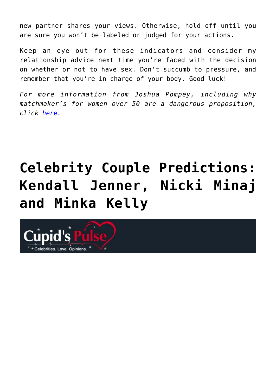new partner shares your views. Otherwise, hold off until you are sure you won't be labeled or judged for your actions.

Keep an eye out for these indicators and consider my relationship advice next time you're faced with the decision on whether or not to have sex. Don't succumb to pressure, and remember that you're in charge of your body. Good luck!

*For more information from Joshua Pompey, including why matchmaker's for women over 50 are a dangerous proposition, click [here.](http://www.nemvip.com/matchmakers-for-women-over-50)*

# **[Celebrity Couple Predictions:](https://cupidspulse.com/114582/celebrity-couple-predictions-kendall-jenner-nicki-minaj-minka-kelly/) [Kendall Jenner, Nicki Minaj](https://cupidspulse.com/114582/celebrity-couple-predictions-kendall-jenner-nicki-minaj-minka-kelly/) [and Minka Kelly](https://cupidspulse.com/114582/celebrity-couple-predictions-kendall-jenner-nicki-minaj-minka-kelly/)**

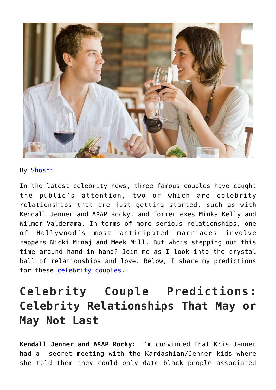

#### By [Shoshi](https://about.me/yolandashoshana)

In the latest celebrity news, three famous couples have caught the public's attention, two of which are celebrity relationships that are just getting started, such as with Kendall Jenner and A\$AP Rocky, and former exes Minka Kelly and Wilmer Valderama. In terms of more serious relationships, one of Hollywood's most anticipated marriages involve rappers Nicki Minaj and Meek Mill. But who's stepping out this time around hand in hand? Join me as I look into the crystal ball of relationships and love. Below, I share my predictions for these [celebrity couples.](http://cupidspulse.com/celebrity-relationships/long-term-relationships-flings/)

## **Celebrity Couple Predictions: Celebrity Relationships That May or May Not Last**

**Kendall Jenner and A\$AP Rocky:** I'm convinced that Kris Jenner had a secret meeting with the Kardashian/Jenner kids where she told them they could only date black people associated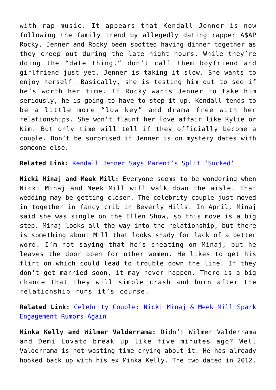with rap music. It appears that Kendall Jenner is now following the family trend by allegedly dating rapper A\$AP Rocky. Jenner and Rocky been spotted having dinner together as they creep out during the late night hours. While they're doing the "date thing," don't call them boyfriend and girlfriend just yet. Jenner is taking it slow. She wants to enjoy herself. Basically, she is testing him out to see if he's worth her time. If Rocky wants Jenner to take him seriously, he is going to have to step it up. Kendall tends to be a little more "low key" and drama free with her relationships. She won't flaunt her love affair like Kylie or Kim. But only time will tell if they officially become a couple. Don't be surprised if Jenner is on mystery dates with someone else.

**Related Link:** [Kendall Jenner Says Parent's Split 'Sucked'](http://cupidspulse.com/83334/kendall-jenner-parents-split/)

**Nicki Minaj and Meek Mill:** Everyone seems to be wondering when Nicki Minaj and Meek Mill will walk down the aisle. That wedding may be getting closer. The celebrity couple just moved in together in fancy crib in Beverly Hills. In April, Minaj said she was single on the Ellen Show, so this move is a big step. Minaj looks all the way into the relationship, but there is something about Mill that looks shady for lack of a better word. I'm not saying that he's cheating on Minaj, but he leaves the door open for other women. He likes to get his flirt on which could lead to trouble down the line. If they don't get married soon, it may never happen. There is a big chance that they will simple crash and burn after the relationship runs it's course.

### **Related Link:** [Celebrity Couple: Nicki Minaj & Meek Mill Spark](http://cupidspulse.com/102378/celebrity-couple-nicki-minaj-meek-mill-spark-engagement-rumors/) [Engagement Rumors Again](http://cupidspulse.com/102378/celebrity-couple-nicki-minaj-meek-mill-spark-engagement-rumors/)

**Minka Kelly and Wilmer Valderrama:** Didn't Wilmer Valderrama and Demi Lovato break up like five minutes ago? Well Valderrama is not wasting time crying about it. He has already hooked back up with his ex Minka Kelly. The two dated in 2012,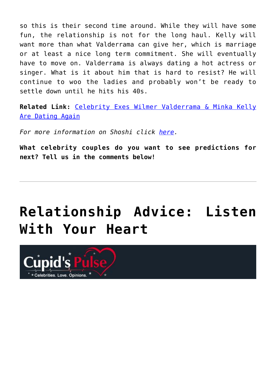so this is their second time around. While they will have some fun, the relationship is not for the long haul. Kelly will want more than what Valderrama can give her, which is marriage or at least a nice long term commitment. She will eventually have to move on. Valderrama is always dating a hot actress or singer. What is it about him that is hard to resist? He will continue to woo the ladies and probably won't be ready to settle down until he hits his 40s.

**Related Link:** [Celebrity Exes Wilmer Valderrama & Minka Kelly](http://cupidspulse.com/114524/celebrity-exes-wilmer-valderrama-minka-kelly-dating-again/) [Are Dating Again](http://cupidspulse.com/114524/celebrity-exes-wilmer-valderrama-minka-kelly-dating-again/)

*For more information on Shoshi click [here.](http://cupidspulse.com/relationship-dating-experts/yolanda-shoshana-shoshi-lifestyle-provocateur/)*

**What celebrity couples do you want to see predictions for next? Tell us in the comments below!**

# **[Relationship Advice: Listen](https://cupidspulse.com/114250/relationship-advice-listen-with-your-heart/) [With Your Heart](https://cupidspulse.com/114250/relationship-advice-listen-with-your-heart/)**

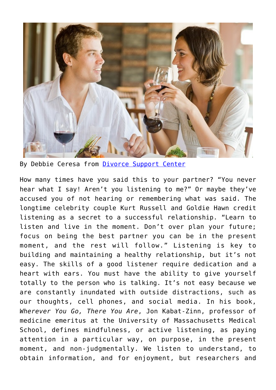

By Debbie Ceresa from *Divorce Support Center* 

How many times have you said this to your partner? "You never hear what I say! Aren't you listening to me?" Or maybe they've accused you of not hearing or remembering what was said. The longtime celebrity couple Kurt Russell and Goldie Hawn credit listening as a secret to a successful relationship. "Learn to listen and live in the moment. Don't over plan your future; focus on being the best partner you can be in the present moment, and the rest will follow." Listening is key to building and maintaining a healthy relationship, but it's not easy. The skills of a good listener require dedication and a heart with ears. You must have the ability to give yourself totally to the person who is talking. It's not easy because we are constantly inundated with outside distractions, such as our thoughts, cell phones, and social media. In his book, *Wherever You Go, There You Are*, Jon Kabat-Zinn, professor of medicine emeritus at the University of Massachusetts Medical School, defines mindfulness, or active listening, as paying attention in a particular way, on purpose, in the present moment, and non-judgmentally. We listen to understand, to obtain information, and for enjoyment, but researchers and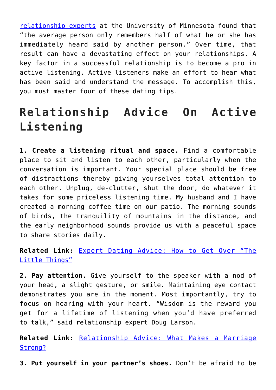[relationship experts](http://cupidspulse.com/relationship-experts/) at the University of Minnesota found that "the average person only remembers half of what he or she has immediately heard said by another person." Over time, that result can have a devastating effect on your relationships. A key factor in a successful relationship is to become a pro in active listening. Active listeners make an effort to hear what has been said and understand the message. To accomplish this, you must master four of these dating tips.

## **Relationship Advice On Active Listening**

**1. Create a listening ritual and space.** Find a comfortable place to sit and listen to each other, particularly when the conversation is important. Your special place should be free of distractions thereby giving yourselves total attention to each other. Unplug, de-clutter, shut the door, do whatever it takes for some priceless listening time. My husband and I have created a morning coffee time on our patio. The morning sounds of birds, the tranquility of mountains in the distance, and the early neighborhood sounds provide us with a peaceful space to share stories daily.

### **Related Link:** [Expert Dating Advice: How to Get Over "The](http://cupidspulse.com/99769/expert-dating-advice-project-soulmate-get-over-the-little-things/) [Little Things"](http://cupidspulse.com/99769/expert-dating-advice-project-soulmate-get-over-the-little-things/)

**2. Pay attention.** Give yourself to the speaker with a nod of your head, a slight gesture, or smile. Maintaining eye contact demonstrates you are in the moment. Most importantly, try to focus on hearing with your heart. "Wisdom is the reward you get for a lifetime of listening when you'd have preferred to talk," said relationship expert Doug Larson.

**Related Link:** [Relationship Advice: What Makes a Marriage](http://cupidspulse.com/104864/relationship-advice-makes-marriage-strong/) [Strong?](http://cupidspulse.com/104864/relationship-advice-makes-marriage-strong/)

**3. Put yourself in your partner's shoes.** Don't be afraid to be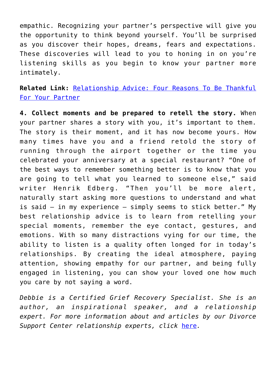empathic. Recognizing your partner's perspective will give you the opportunity to think beyond yourself. You'll be surprised as you discover their hopes, dreams, fears and expectations. These discoveries will lead to you to honing in on you're listening skills as you begin to know your partner more intimately.

**Related Link:** [Relationship Advice: Four Reasons To Be Thankful](http://cupidspulse.com/101887/relationship-advice-be-thankful-for-your-partner/) [For Your Partner](http://cupidspulse.com/101887/relationship-advice-be-thankful-for-your-partner/)

**4. Collect moments and be prepared to retell the story.** When your partner shares a story with you, it's important to them. The story is their moment, and it has now become yours. How many times have you and a friend retold the story of running through the airport together or the time you celebrated your anniversary at a special restaurant? "One of the best ways to remember something better is to know that you are going to tell what you learned to someone else," said writer Henrik Edberg. "Then you'll be more alert, naturally start asking more questions to understand and what is said – in my experience – simply seems to stick better." My best relationship advice is to learn from retelling your special moments, remember the eye contact, gestures, and emotions. With so many distractions vying for our time, the ability to listen is a quality often longed for in today's relationships. By creating the ideal atmosphere, paying attention, showing empathy for our partner, and being fully engaged in listening, you can show your loved one how much you care by not saying a word.

*Debbie is a Certified Grief Recovery Specialist. She is an author, an inspirational speaker, and a relationship expert. For more information about and articles by our Divorce Support Center relationship experts, click* [here](http://cupidspulse.com/relationship-dating-experts/hope-after-divorce-relationship-experts/)*.*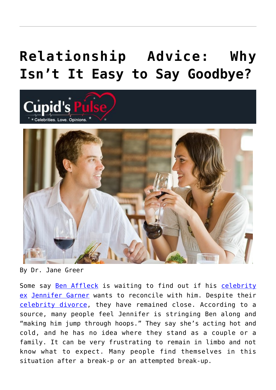# **[Relationship Advice: Why](https://cupidspulse.com/114182/relationship-advice-why-not-easy-say-goodbye/) [Isn't It Easy to Say Goodbye?](https://cupidspulse.com/114182/relationship-advice-why-not-easy-say-goodbye/)**



By Dr. Jane Greer

Some say [Ben Affleck](http://cupidspulse.com/87708/ben-affleck/) is waiting to find out if his [celebrity](http://cupidspulse.com/celebrity-relationships/break-up-divorce/) [ex](http://cupidspulse.com/celebrity-relationships/break-up-divorce/) [Jennifer Garner](http://cupidspulse.com/94271/jennifer-garner/) wants to reconcile with him. Despite their [celebrity divorce](http://cupidspulse.com/celebrity-relationships/break-up-divorce/), they have remained close. According to a source, many people feel Jennifer is stringing Ben along and "making him jump through hoops." They say she's acting hot and cold, and he has no idea where they stand as a couple or a family. It can be very frustrating to remain in limbo and not know what to expect. Many people find themselves in this situation after a break-p or an attempted break-up.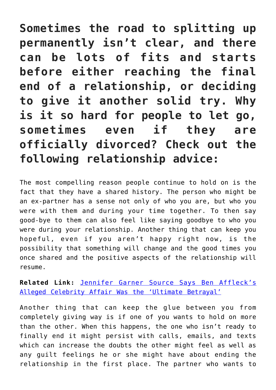**Sometimes the road to splitting up permanently isn't clear, and there can be lots of fits and starts before either reaching the final end of a relationship, or deciding to give it another solid try. Why is it so hard for people to let go, sometimes even if they are officially divorced? Check out the following relationship advice:**

The most compelling reason people continue to hold on is the fact that they have a shared history. The person who might be an ex-partner has a sense not only of who you are, but who you were with them and during your time together. To then say good-bye to them can also feel like saying goodbye to who you were during your relationship. Another thing that can keep you hopeful, even if you aren't happy right now, is the possibility that something will change and the good times you once shared and the positive aspects of the relationship will resume.

**Related Link:** [Jennifer Garner Source Says Ben Affleck's](http://cupidspulse.com/98881/jennifer-garner-ben-affleck-celebrity-affair-ultimate-betrayal/) [Alleged Celebrity Affair Was the 'Ultimate Betrayal'](http://cupidspulse.com/98881/jennifer-garner-ben-affleck-celebrity-affair-ultimate-betrayal/)

Another thing that can keep the glue between you from completely giving way is if one of you wants to hold on more than the other. When this happens, the one who isn't ready to finally end it might persist with calls, emails, and texts which can increase the doubts the other might feel as well as any guilt feelings he or she might have about ending the relationship in the first place. The partner who wants to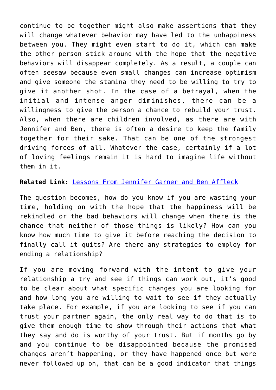continue to be together might also make assertions that they will change whatever behavior may have led to the unhappiness between you. They might even start to do it, which can make the other person stick around with the hope that the negative behaviors will disappear completely. As a result, a couple can often seesaw because even small changes can increase optimism and give someone the stamina they need to be willing to try to give it another shot. In the case of a betrayal, when the initial and intense anger diminishes, there can be a willingness to give the person a chance to rebuild your trust. Also, when there are children involved, as there are with Jennifer and Ben, there is often a desire to keep the family together for their sake. That can be one of the strongest driving forces of all. Whatever the case, certainly if a lot of loving feelings remain it is hard to imagine life without them in it.

#### **Related Link:** [Lessons From Jennifer Garner and Ben Affleck](http://cupidspulse.com/55662/lessons-from-jennifer-garner-ben-affleck-tammy-greene-hope-after-divorce/)

The question becomes, how do you know if you are wasting your time, holding on with the hope that the happiness will be rekindled or the bad behaviors will change when there is the chance that neither of those things is likely? How can you know how much time to give it before reaching the decision to finally call it quits? Are there any strategies to employ for ending a relationship?

If you are moving forward with the intent to give your relationship a try and see if things can work out, it's good to be clear about what specific changes you are looking for and how long you are willing to wait to see if they actually take place. For example, if you are looking to see if you can trust your partner again, the only real way to do that is to give them enough time to show through their actions that what they say and do is worthy of your trust. But if months go by and you continue to be disappointed because the promised changes aren't happening, or they have happened once but were never followed up on, that can be a good indicator that things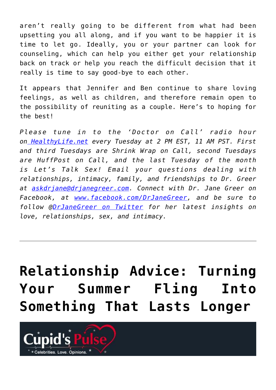aren't really going to be different from what had been upsetting you all along, and if you want to be happier it is time to let go. Ideally, you or your partner can look for counseling, which can help you either get your relationship back on track or help you reach the difficult decision that it really is time to say good-bye to each other.

It appears that Jennifer and Ben continue to share loving feelings, as well as children, and therefore remain open to the possibility of reuniting as a couple. Here's to hoping for the best!

*Please tune in to the 'Doctor on Call' radio hour on [HealthyLife.net](http://www.healthylife.net/) every Tuesday at 2 PM EST, 11 AM PST. First and third Tuesdays are Shrink Wrap on Call, second Tuesdays are HuffPost on Call, and the last Tuesday of the month is Let's Talk Sex! Email your questions dealing with relationships, intimacy, family, and friendships to Dr. Greer at [askdrjane@drjanegreer.com](mailto:askdrjane@drjanegreer.com). Connect with Dr. Jane Greer on Facebook, at [www.facebook.com/DrJaneGreer,](http://www.facebook.com/DrJaneGreer) and be sure to follow @[DrJaneGreer on Twitter](https://twitter.com/#!/DrJaneGreer) for her latest insights on love, relationships, sex, and intimacy.*

# **[Relationship Advice: Turning](https://cupidspulse.com/114084/relationship-advice-summer-fling-into-something-more/) [Your Summer Fling Into](https://cupidspulse.com/114084/relationship-advice-summer-fling-into-something-more/) [Something That Lasts Longer](https://cupidspulse.com/114084/relationship-advice-summer-fling-into-something-more/)**

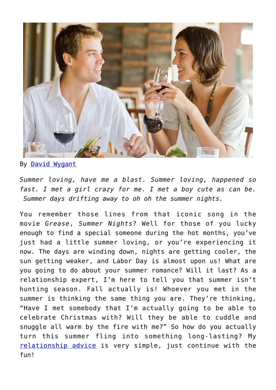

By [David Wygant](http://cupidspulse.com/relationship-dating-experts/david-wygant-dating-coach/)

*Summer loving, have me a blast. Summer loving, happened so fast. I met a girl crazy for me. I met a boy cute as can be. Summer days drifting away to oh oh the summer nights.*

You remember those lines from that iconic song in the movie *Grease*, *Summer Nights*? Well for those of you lucky enough to find a special someone during the hot months, you've just had a little summer loving, or you're experiencing it now. The days are winding down, nights are getting cooler, the sun getting weaker, and Labor Day is almost upon us! What are you going to do about your summer romance? Will it last? As a relationship expert, I'm here to tell you that summer isn't hunting season. Fall actually is! Whoever you met in the summer is thinking the same thing you are. They're thinking, "Have I met somebody that I'm actually going to be able to celebrate Christmas with? Will they be able to cuddle and snuggle all warm by the fire with me?" So how do you actually turn this summer fling into something long-lasting? My [relationship advice](http://cupidspulse.com/relationship-experts/) is very simple, just continue with the fun!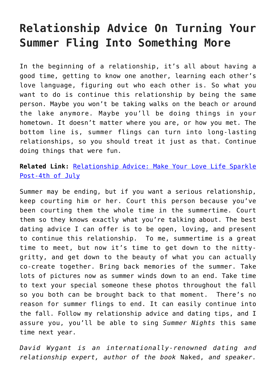### **Relationship Advice On Turning Your Summer Fling Into Something More**

In the beginning of a relationship, it's all about having a good time, getting to know one another, learning each other's love language, figuring out who each other is. So what you want to do is continue this relationship by being the same person. Maybe you won't be taking walks on the beach or around the lake anymore. Maybe you'll be doing things in your hometown. It doesn't matter where you are, or how you met. The bottom line is, summer flings can turn into long-lasting relationships, so you should treat it just as that. Continue doing things that were fun.

**Related Link:** [Relationship Advice: Make Your Love Life Sparkle](http://cupidspulse.com/111045/relationship-advice-love-sparkle-4th-of-july/) [Post-4th of July](http://cupidspulse.com/111045/relationship-advice-love-sparkle-4th-of-july/)

Summer may be ending, but if you want a serious relationship, keep courting him or her. Court this person because you've been courting them the whole time in the summertime. Court them so they knows exactly what you're talking about. The best dating advice I can offer is to be open, loving, and present to continue this relationship. To me, summertime is a great time to meet, but now it's time to get down to the nittygritty, and get down to the beauty of what you can actually co-create together. Bring back memories of the summer. Take lots of pictures now as summer winds down to an end. Take time to text your special someone these photos throughout the fall so you both can be brought back to that moment. There's no reason for summer flings to end. It can easily continue into the fall. Follow my relationship advice and dating tips, and I assure you, you'll be able to sing *Summer Nights* this same time next year.

*David Wygant is an internationally-renowned dating and relationship expert, author of the book* Naked, *and speaker.*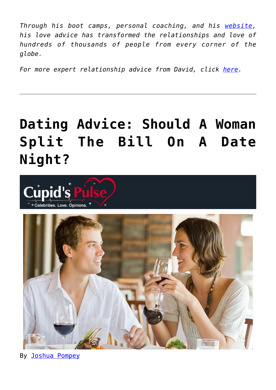*Through his boot camps, personal coaching, and his [website,](http://www.davidwygant.com/) his love advice has transformed the relationships and love of hundreds of thousands of people from every corner of the globe.* 

*For more expert relationship advice from David, click [here.](http://cupidspulse.com/relationship-dating-experts/david-wygant-dating-coach/)*

# **[Dating Advice: Should A Woman](https://cupidspulse.com/113519/dating-advice-split-bill-date-night/) [Split The Bill On A Date](https://cupidspulse.com/113519/dating-advice-split-bill-date-night/) [Night?](https://cupidspulse.com/113519/dating-advice-split-bill-date-night/)**





By [Joshua Pompey](http://cupidspulse.com/relationship-dating-experts/joshua-pompey/)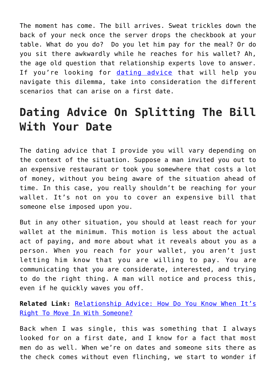The moment has come. The bill arrives. Sweat trickles down the back of your neck once the server drops the checkbook at your table. What do you do? Do you let him pay for the meal? Or do you sit there awkwardly while he reaches for his wallet? Ah, the age old question that relationship experts love to answer. If you're looking for [dating advice](http://cupidspulse.com/dating/date-ideas/) that will help you navigate this dilemma, take into consideration the different scenarios that can arise on a first date.

### **Dating Advice On Splitting The Bill With Your Date**

The dating advice that I provide you will vary depending on the context of the situation. Suppose a man invited you out to an expensive restaurant or took you somewhere that costs a lot of money, without you being aware of the situation ahead of time. In this case, you really shouldn't be reaching for your wallet. It's not on you to cover an expensive bill that someone else imposed upon you.

But in any other situation, you should at least reach for your wallet at the minimum. This motion is less about the actual act of paying, and more about what it reveals about you as a person. When you reach for your wallet, you aren't just letting him know that you are willing to pay. You are communicating that you are considerate, interested, and trying to do the right thing. A man will notice and process this, even if he quickly waves you off.

**Related Link:** [Relationship Advice: How Do You Know When It's](http://cupidspulse.com/112327/relationship-advice-moving-in-relationship-experts/) [Right To Move In With Someone?](http://cupidspulse.com/112327/relationship-advice-moving-in-relationship-experts/)

Back when I was single, this was something that I always looked for on a first date, and I know for a fact that most men do as well. When we're on dates and someone sits there as the check comes without even flinching, we start to wonder if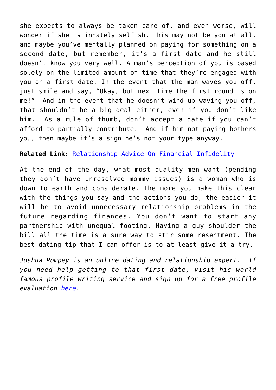she expects to always be taken care of, and even worse, will wonder if she is innately selfish. This may not be you at all, and maybe you've mentally planned on paying for something on a second date, but remember, it's a first date and he still doesn't know you very well. A man's perception of you is based solely on the limited amount of time that they're engaged with you on a first date. In the event that the man waves you off, just smile and say, "Okay, but next time the first round is on me!" And in the event that he doesn't wind up waving you off, that shouldn't be a big deal either, even if you don't like him. As a rule of thumb, don't accept a date if you can't afford to partially contribute. And if him not paying bothers you, then maybe it's a sign he's not your type anyway.

**Related Link:** [Relationship Advice On Financial Infidelity](http://cupidspulse.com/100647/relationship-advice-financial-infidelity/)

At the end of the day, what most quality men want (pending they don't have unresolved mommy issues) is a woman who is down to earth and considerate. The more you make this clear with the things you say and the actions you do, the easier it will be to avoid unnecessary relationship problems in the future regarding finances. You don't want to start any partnership with unequal footing. Having a guy shoulder the bill all the time is a sure way to stir some resentment. The best dating tip that I can offer is to at least give it a try.

*Joshua Pompey is an online dating and relationship expert. If you need help getting to that first date, visit his world famous profile writing service and sign up for a free profile evaluation [here](http://www.nemvip.com/profile-writing).*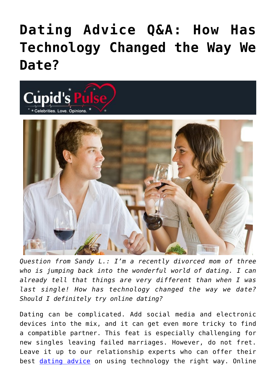# **[Dating Advice Q&A: How Has](https://cupidspulse.com/113353/dating-advice-technology-online-dating/) [Technology Changed the Way We](https://cupidspulse.com/113353/dating-advice-technology-online-dating/) [Date?](https://cupidspulse.com/113353/dating-advice-technology-online-dating/)**





*Question from Sandy L.: I'm a recently divorced mom of three who is jumping back into the wonderful world of dating. I can already tell that things are very different than when I was last single! How has technology changed the way we date? Should I definitely try online dating?*

Dating can be complicated. Add social media and electronic devices into the mix, and it can get even more tricky to find a compatible partner. This feat is especially challenging for new singles leaving failed marriages. However, do not fret. Leave it up to our relationship experts who can offer their best [dating advice](http://cupidspulse.com/videos/dating-advice-videos/) on using technology the right way. Online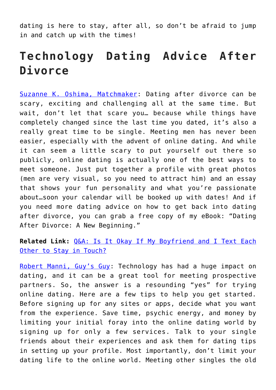dating is here to stay, after all, so don't be afraid to jump in and catch up with the times!

### **Technology Dating Advice After Divorce**

[Suzanne K. Oshima, Matchmaker](http://www.dreambachelor.com/): Dating after divorce can be scary, exciting and challenging all at the same time. But wait, don't let that scare you… because while things have completely changed since the last time you dated, it's also a really great time to be single. Meeting men has never been easier, especially with the advent of online dating. And while it can seem a little scary to put yourself out there so publicly, online dating is actually one of the best ways to meet someone. Just put together a profile with great photos (men are very visual, so you need to attract him) and an essay that shows your fun personality and what you're passionate about…soon your calendar will be booked up with dates! And if you need more dating advice on how to get back into dating after divorce, you can grab a free copy of my eBook: "Dating After Divorce: A New Beginning."

### **Related Link:** [Q&A: Is It Okay If My Boyfriend and I Text Each](http://cupidspulse.com/43318/qa-long-distance-relationship-texting/) [Other to Stay in Touch?](http://cupidspulse.com/43318/qa-long-distance-relationship-texting/)

[Robert Manni, Guy's Guy:](http://www.robertmanni.com/) Technology has had a huge impact on dating, and it can be a great tool for meeting prospective partners. So, the answer is a resounding "yes" for trying online dating. Here are a few tips to help you get started. Before signing up for any sites or apps, decide what you want from the experience. Save time, psychic energy, and money by limiting your initial foray into the online dating world by signing up for only a few services. Talk to your single friends about their experiences and ask them for dating tips in setting up your profile. Most importantly, don't limit your dating life to the online world. Meeting other singles the old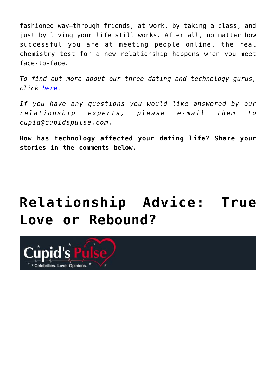fashioned way–through friends, at work, by taking a class, and just by living your life still works. After all, no matter how successful you are at meeting people online, the real chemistry test for a new relationship happens when you meet face-to-face.

*To find out more about our three dating and technology gurus, click [here.](http://cupidspulse.com/relationship-dating-experts/oshima-wyatt-manni-technology-experts/)*

*If you have any questions you would like answered by our relationship experts, please e-mail them to cupid@cupidspulse.com.*

**How has technology affected your dating life? Share your stories in the comments below.**

# **[Relationship Advice: True](https://cupidspulse.com/113160/relationship-advice-true-love-or-rebound/) [Love or Rebound?](https://cupidspulse.com/113160/relationship-advice-true-love-or-rebound/)**

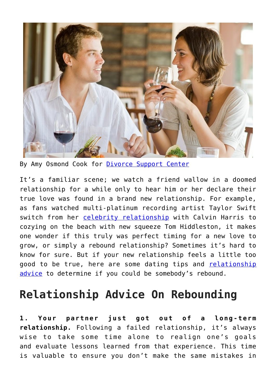

By Amy Osmond Cook for [Divorce Support Center](http://www.divorcesupportcenter.com/)

It's a familiar scene; we watch a friend wallow in a doomed relationship for a while only to hear him or her declare their true love was found in a brand new relationship. For example, as fans watched multi-platinum recording artist Taylor Swift switch from her [celebrity relationship](http://cupidspulse.com/celebrity-relationships/) with Calvin Harris to cozying on the beach with new squeeze Tom Hiddleston, it makes one wonder if this truly was perfect timing for a new love to grow, or simply a rebound relationship? Sometimes it's hard to know for sure. But if your new relationship feels a little too good to be true, here are some dating tips and [relationship](http://cupidspulse.com/relationship-experts/) [advice](http://cupidspulse.com/relationship-experts/) to determine if you could be somebody's rebound.

### **Relationship Advice On Rebounding**

**1. Your partner just got out of a long-term relationship.** Following a failed relationship, it's always wise to take some time alone to realign one's goals and evaluate lessons learned from that experience. This time is valuable to ensure you don't make the same mistakes in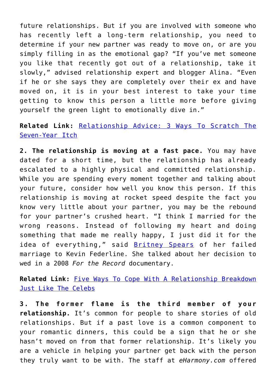future relationships. But if you are involved with someone who has recently left a long-term relationship, you need to determine if your new partner was ready to move on, or are you simply filling in as the emotional gap? "If you've met someone you like that recently got out of a relationship, take it slowly," advised relationship expert and blogger Alina. "Even if he or she says they are completely over their ex and have moved on, it is in your best interest to take your time getting to know this person a little more before giving yourself the green light to emotionally dive in."

**Related Link:** [Relationship Advice: 3 Ways To Scratch The](http://cupidspulse.com/112819/relationship-advice-seven-year-itch/) [Seven-Year Itch](http://cupidspulse.com/112819/relationship-advice-seven-year-itch/)

**2. The relationship is moving at a fast pace.** You may have dated for a short time, but the relationship has already escalated to a highly physical and committed relationship. While you are spending every moment together and talking about your future, consider how well you know this person. If this relationship is moving at rocket speed despite the fact you know very little about your partner, you may be the rebound for your partner's crushed heart. "I think I married for the wrong reasons. Instead of following my heart and doing something that made me really happy, I just did it for the idea of everything," said **[Britney Spears](http://cupidspulse.com/88127/britney-spears/)** of her failed marriage to Kevin Federline. She talked about her decision to wed in a 2008 *For the Record* documentary.

**Related Link:** [Five Ways To Cope With A Relationship Breakdown](http://cupidspulse.com/104547/celebrity-relationship-breakdown-cope-like-celebs/) [Just Like The Celebs](http://cupidspulse.com/104547/celebrity-relationship-breakdown-cope-like-celebs/)

**3. The former flame is the third member of your relationship.** It's common for people to share stories of old relationships. But if a past love is a common component to your romantic dinners, this could be a sign that he or she hasn't moved on from that former relationship. It's likely you are a vehicle in helping your partner get back with the person they truly want to be with. The staff at *eHarmony.com* offered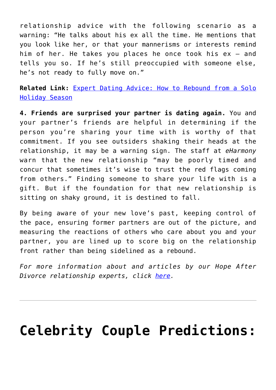relationship advice with the following scenario as a warning: "He talks about his ex all the time. He mentions that you look like her, or that your mannerisms or interests remind him of her. He takes you places he once took his ex — and tells you so. If he's still preoccupied with someone else, he's not ready to fully move on."

**Related Link:** [Expert Dating Advice: How to Rebound from a Solo](http://cupidspulse.com/102067/expert-dating-advice-how-to-rebound-from-a-solo-holiday-season/) [Holiday Season](http://cupidspulse.com/102067/expert-dating-advice-how-to-rebound-from-a-solo-holiday-season/)

**4. Friends are surprised your partner is dating again.** You and your partner's friends are helpful in determining if the person you're sharing your time with is worthy of that commitment. If you see outsiders shaking their heads at the relationship, it may be a warning sign. The staff at *eHarmony* warn that the new relationship "may be poorly timed and concur that sometimes it's wise to trust the red flags coming from others." Finding someone to share your life with is a gift. But if the foundation for that new relationship is sitting on shaky ground, it is destined to fall.

By being aware of your new love's past, keeping control of the pace, ensuring former partners are out of the picture, and measuring the reactions of others who care about you and your partner, you are lined up to score big on the relationship front rather than being sidelined as a rebound.

*For more information about and articles by our Hope After Divorce relationship experts, click [here.](http://cupidspulse.com/relationship-dating-experts/hope-after-divorce-relationship-experts/)*

# **[Celebrity Couple Predictions:](https://cupidspulse.com/112880/celebrity-couple-predictions-pauly-d-leonardo-dicaprio-chloe-grace-moretz/)**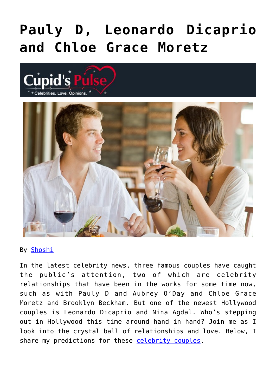# **[Pauly D, Leonardo Dicaprio](https://cupidspulse.com/112880/celebrity-couple-predictions-pauly-d-leonardo-dicaprio-chloe-grace-moretz/) [and Chloe Grace Moretz](https://cupidspulse.com/112880/celebrity-couple-predictions-pauly-d-leonardo-dicaprio-chloe-grace-moretz/)**





#### By [Shoshi](https://about.me/yolandashoshana)

In the latest celebrity news, three famous couples have caught the public's attention, two of which are celebrity relationships that have been in the works for some time now, such as with Pauly D and Aubrey O'Day and Chloe Grace Moretz and Brooklyn Beckham. But one of the newest Hollywood couples is Leonardo Dicaprio and Nina Agdal. Who's stepping out in Hollywood this time around hand in hand? Join me as I look into the crystal ball of relationships and love. Below, I share my predictions for these [celebrity couples.](http://cupidspulse.com/celebrity-relationships/long-term-relationships-flings/)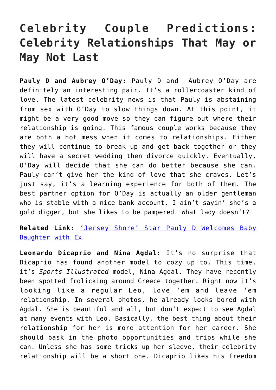## **Celebrity Couple Predictions: Celebrity Relationships That May or May Not Last**

**Pauly D and Aubrey O'Day:** Pauly D and Aubrey O'Day are definitely an interesting pair. It's a rollercoaster kind of love. The latest celebrity news is that Pauly is abstaining from sex with O'Day to slow things down. At this point, it might be a very good move so they can figure out where their relationship is going. This famous couple works because they are both a hot mess when it comes to relationships. Either they will continue to break up and get back together or they will have a secret wedding then divorce quickly. Eventually, O'Day will decide that she can do better because she can. Pauly can't give her the kind of love that she craves. Let's just say, it's a learning experience for both of them. The best partner option for O'Day is actually an older gentleman who is stable with a nice bank account. I ain't sayin' she's a gold digger, but she likes to be pampered. What lady doesn't?

**Related Link:** ['Jersey Shore' Star Pauly D Welcomes Baby](http://cupidspulse.com/60707/jersey-shore-star-pauly-d-welcomes-baby-daughter-with-ex/) [Daughter with Ex](http://cupidspulse.com/60707/jersey-shore-star-pauly-d-welcomes-baby-daughter-with-ex/)

**Leonardo Dicaprio and Nina Agdal:** It's no surprise that Dicaprio has found another model to cozy up to. This time, it's *Sports Illustrated* model, Nina Agdal. They have recently been spotted frolicking around Greece together. Right now it's looking like a regular Leo, love 'em and leave 'em relationship. In several photos, he already looks bored with Agdal. She is beautiful and all, but don't expect to see Agdal at many events with Leo. Basically, the best thing about their relationship for her is more attention for her career. She should bask in the photo opportunities and trips while she can. Unless she has some tricks up her sleeve, their celebrity relationship will be a short one. Dicaprio likes his freedom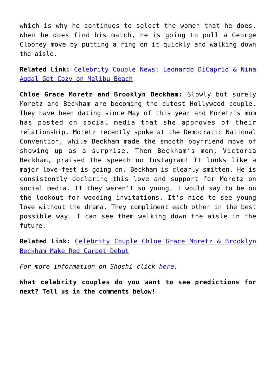which is why he continues to select the women that he does. When he does find his match, he is going to pull a George Clooney move by putting a ring on it quickly and walking down the aisle.

**Related Link:** [Celebrity Couple News: Leonardo DiCaprio & Nina](http://cupidspulse.com/112334/celebrity-couple-news-leonardo-dicaprio-nina-agdal-cozy-beach/) [Agdal Get Cozy on Malibu Beach](http://cupidspulse.com/112334/celebrity-couple-news-leonardo-dicaprio-nina-agdal-cozy-beach/)

**Chloe Grace Moretz and Brooklyn Beckham:** Slowly but surely Moretz and Beckham are becoming the cutest Hollywood couple. They have been dating since May of this year and Moretz's mom has posted on social media that she approves of their relationship. Moretz recently spoke at the Democratic National Convention, while Beckham made the smooth boyfriend move of showing up as a surprise. Then Beckham's mom, Victoria Beckham, praised the speech on Instagram! It looks like a major love-fest is going on. Beckham is clearly smitten. He is consistently declaring this love and support for Moretz on social media. If they weren't so young, I would say to be on the lookout for wedding invitations. It's nice to see young love without the drama. They compliment each other in the best possible way. I can see them walking down the aisle in the future.

**Related Link:** [Celebrity Couple Chloe Grace Moretz & Brooklyn](http://cupidspulse.com/109192/celebrity-couple-chloe-grace-moretz-brooklyn-beckham-red-carpet-debut/) [Beckham Make Red Carpet Debut](http://cupidspulse.com/109192/celebrity-couple-chloe-grace-moretz-brooklyn-beckham-red-carpet-debut/)

*For more information on Shoshi click [here.](http://cupidspulse.com/relationship-dating-experts/yolanda-shoshana-shoshi-lifestyle-provocateur/)*

**What celebrity couples do you want to see predictions for next? Tell us in the comments below!**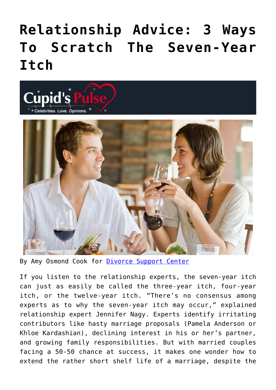# **[Relationship Advice: 3 Ways](https://cupidspulse.com/112819/relationship-advice-seven-year-itch/) [To Scratch The Seven-Year](https://cupidspulse.com/112819/relationship-advice-seven-year-itch/) [Itch](https://cupidspulse.com/112819/relationship-advice-seven-year-itch/)**





By Amy Osmond Cook for **Divorce Support Center** 

If you listen to the relationship experts, the seven-year itch can just as easily be called the three-year itch, four-year itch, or the twelve-year itch. "There's no consensus among experts as to why the seven-year itch may occur," explained relationship expert Jennifer Nagy. Experts identify irritating contributors like hasty marriage proposals (Pamela Anderson or Khloe Kardashian), declining interest in his or her's partner, and growing family responsibilities. But with married couples facing a 50-50 chance at success, it makes one wonder how to extend the rather short shelf life of a marriage, despite the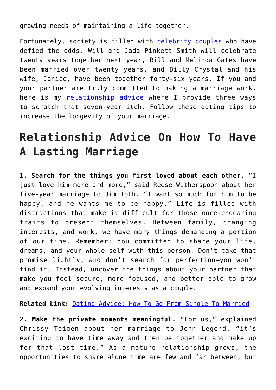growing needs of maintaining a life together.

Fortunately, society is filled with [celebrity couples](http://cupidspulse.com/celebrity-relationships/long-term-relationships-flings/) who have defied the odds. Will and Jada Pinkett Smith will celebrate twenty years together next year, Bill and Melinda Gates have been married over twenty years, and Billy Crystal and his wife, Janice, have been together forty-six years. If you and your partner are truly committed to making a marriage work, here is my [relationship advice](http://cupidspulse.com/relationship-experts/) where I provide three ways to scratch that seven-year itch. Follow these dating tips to increase the longevity of your marriage.

### **Relationship Advice On How To Have A Lasting Marriage**

**1. Search for the things you first loved about each other.** "I just love him more and more," said Reese Witherspoon about her five-year marriage to Jim Toth. "I want so much for him to be happy, and he wants me to be happy." Life is filled with distractions that make it difficult for those once-endearing traits to present themselves. Between family, changing interests, and work, we have many things demanding a portion of our time. Remember: You committed to share your life, dreams, and your whole self with this person. Don't take that promise lightly, and don't search for perfection—you won't find it. Instead, uncover the things about your partner that make you feel secure, more focused, and better able to grow and expand your evolving interests as a couple.

**Related Link:** [Dating Advice: How To Go From Single To Married](http://cupidspulse.com/112667/dating-advice-marriage-single-in-stilettos/)

**2. Make the private moments meaningful.** "For us," explained Chrissy Teigen about her marriage to John Legend, "it's exciting to have time away and then be together and make up for that lost time." As a mature relationship grows, the opportunities to share alone time are few and far between, but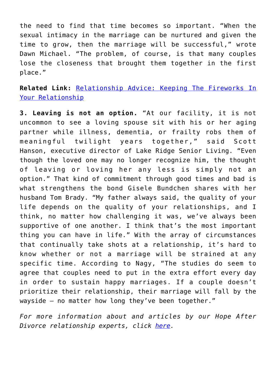the need to find that time becomes so important. "When the sexual intimacy in the marriage can be nurtured and given the time to grow, then the marriage will be successful," wrote Dawn Michael. "The problem, of course, is that many couples lose the closeness that brought them together in the first place."

**Related Link:** [Relationship Advice: Keeping The Fireworks In](http://cupidspulse.com/111759/relationship-advice-keeping-fireworks-relationship/) [Your Relationship](http://cupidspulse.com/111759/relationship-advice-keeping-fireworks-relationship/)

**3. Leaving is not an option.** "At our facility, it is not uncommon to see a loving spouse sit with his or her aging partner while illness, dementia, or frailty robs them of meaningful twilight years together," said Scott Hanson, executive director of Lake Ridge Senior Living. "Even though the loved one may no longer recognize him, the thought of leaving or loving her any less is simply not an option." That kind of commitment through good times and bad is what strengthens the bond Gisele Bundchen shares with her husband Tom Brady. "My father always said, the quality of your life depends on the quality of your relationships, and I think, no matter how challenging it was, we've always been supportive of one another. I think that's the most important thing you can have in life." With the array of circumstances that continually take shots at a relationship, it's hard to know whether or not a marriage will be strained at any specific time. According to Nagy, "The studies do seem to agree that couples need to put in the extra effort every day in order to sustain happy marriages. If a couple doesn't prioritize their relationship, their marriage will fall by the wayside — no matter how long they've been together."

*For more information about and articles by our Hope After Divorce relationship experts, click [here.](http://cupidspulse.com/relationship-dating-experts/hope-after-divorce-relationship-experts/)*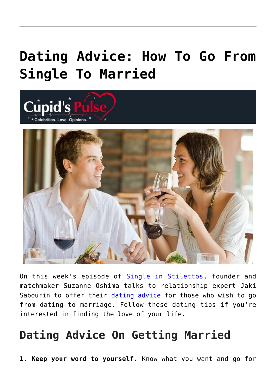# **[Dating Advice: How To Go From](https://cupidspulse.com/112667/dating-advice-marriage-single-in-stilettos/) [Single To Married](https://cupidspulse.com/112667/dating-advice-marriage-single-in-stilettos/)**



On this week's episode of **Single in Stilettos**, founder and matchmaker Suzanne Oshima talks to relationship expert Jaki Sabourin to offer their *dating advice* for those who wish to go from dating to marriage. Follow these dating tips if you're interested in finding the love of your life.

### **Dating Advice On Getting Married**

**1. Keep your word to yourself.** Know what you want and go for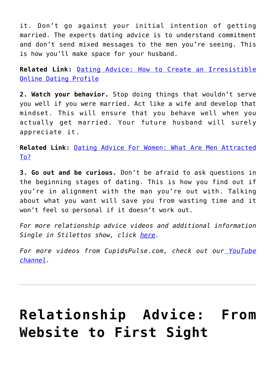it. Don't go against your initial intention of getting married. The experts dating advice is to understand commitment and don't send mixed messages to the men you're seeing. This is how you'll make space for your husband.

**Related Link:** [Dating Advice: How to Create an Irresistible](http://cupidspulse.com/112341/dating-advice-online-dating-profile-2/) [Online Dating Profile](http://cupidspulse.com/112341/dating-advice-online-dating-profile-2/)

**2. Watch your behavior.** Stop doing things that wouldn't serve you well if you were married. Act like a wife and develop that mindset. This will ensure that you behave well when you actually get married. Your future husband will surely appreciate it.

**Related Link:** [Dating Advice For Women: What Are Men Attracted](http://cupidspulse.com/108552/dating-advice-attracting-men/) [To?](http://cupidspulse.com/108552/dating-advice-attracting-men/)

**3. Go out and be curious.** Don't be afraid to ask questions in the beginning stages of dating. This is how you find out if you're in alignment with the man you're out with. Talking about what you want will save you from wasting time and it won't feel so personal if it doesn't work out.

*For more relationship advice videos and additional information Single in Stilettos show, click [here](http://cupidspulse.com/single-in-stilettos-shows/).*

*For more videos from CupidsPulse.com, check out our [YouTube](https://www.youtube.com/watch?v=3-5zn0Vbqk4) [channel](https://www.youtube.com/watch?v=3-5zn0Vbqk4).*

# **[Relationship Advice: From](https://cupidspulse.com/112660/relationship-advice-online-dating-tips/) [Website to First Sight](https://cupidspulse.com/112660/relationship-advice-online-dating-tips/)**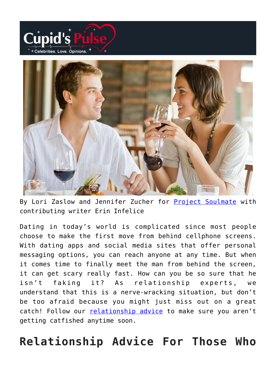



By Lori Zaslow and Jennifer Zucher for [Project Soulmate](http://www.projectsoulmate.com/) with contributing writer Erin Infelice

Dating in today's world is complicated since most people choose to make the first move from behind cellphone screens. With dating apps and social media sites that offer personal messaging options, you can reach anyone at any time. But when it comes time to finally meet the man from behind the screen, it can get scary really fast. How can you be so sure that he isn't faking it? As relationship experts, we understand that this is a nerve-wracking situation, but don't be too afraid because you might just miss out on a great catch! Follow our [relationship advice](http://cupidspulse.com/relationship-experts/) to make sure you aren't getting catfished anytime soon.

### **Relationship Advice For Those Who**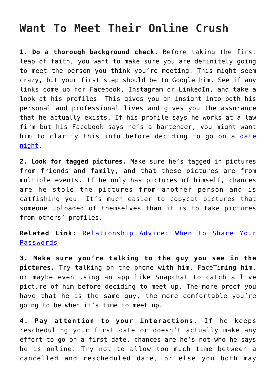## **Want To Meet Their Online Crush**

**1. Do a thorough background check.** Before taking the first leap of faith, you want to make sure you are definitely going to meet the person you think you're meeting. This might seem crazy, but your first step should be to Google him. See if any links come up for Facebook, Instagram or LinkedIn, and take a look at his profiles. This gives you an insight into both his personal and professional lives and gives you the assurance that he actually exists. If his profile says he works at a law firm but his Facebook says he's a bartender, you might want him to clarify this info before deciding to go on a [date](http://cupidspulse.com/dating/date-ideas/) [night](http://cupidspulse.com/dating/date-ideas/).

**2. Look for tagged pictures.** Make sure he's tagged in pictures from friends and family, and that these pictures are from multiple events. If he only has pictures of himself, chances are he stole the pictures from another person and is catfishing you. It's much easier to copycat pictures that someone uploaded of themselves than it is to take pictures from others' profiles.

**Related Link:** [Relationship Advice: When to Share Your](http://cupidspulse.com/108148/relationship-advice-sharing-passwords/) [Passwords](http://cupidspulse.com/108148/relationship-advice-sharing-passwords/)

**3. Make sure you're talking to the guy you see in the pictures.** Try talking on the phone with him, FaceTiming him, or maybe even using an app like Snapchat to catch a live picture of him before deciding to meet up. The more proof you have that he is the same guy, the more comfortable you're going to be when it's time to meet up.

**4. Pay attention to your interactions.** If he keeps rescheduling your first date or doesn't actually make any effort to go on a first date, chances are he's not who he says he is online. Try not to allow too much time between a cancelled and rescheduled date, or else you both may